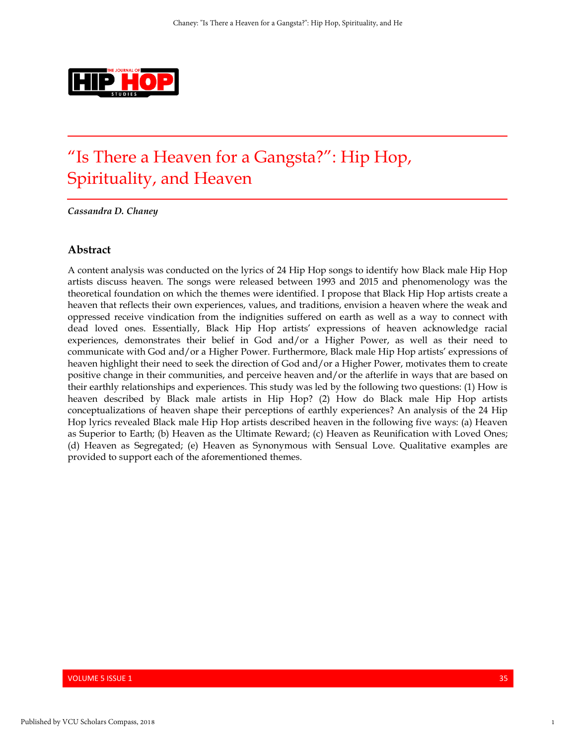

# "Is There a Heaven for a Gangsta?" : Hip Hop, Spirituality, and Heaven

*Cassandra D. Chaney*

#### **Abstract**

A content analysis was conducted on the lyrics of 24 Hip Hop songs to identify how Black male Hip Hop artists discuss heaven. The songs were released between 1993 and 2015 and phenomenology was the theoretical foundation on which the themes were identified. I propose that Black Hip Hop artists create a heaven that reflects their own experiences, values, and traditions, envision a heaven where the weak and oppressed receive vindication from the indignities suffered on earth as well as a way to connect with dead loved ones. Essentially, Black Hip Hop artists' expressions of heaven acknowledge racial experiences, demonstrates their belief in God and/or a Higher Power, as well as their need to communicate with God and/or a Higher Power. Furthermore, Black male Hip Hop artists' expressions of heaven highlight their need to seek the direction of God and/or a Higher Power, motivates them to create positive change in their communities, and perceive heaven and/or the afterlife in ways that are based on their earthly relationships and experiences. This study was led by the following two questions: (1) How is heaven described by Black male artists in Hip Hop? (2) How do Black male Hip Hop artists conceptualizations of heaven shape their perceptions of earthly experiences? An analysis of the 24 Hip Hop lyrics revealed Black male Hip Hop artists described heaven in the following five ways: (a) Heaven as Superior to Earth; (b) Heaven as the Ultimate Reward; (c) Heaven as Reunification with Loved Ones; (d) Heaven as Segregated; (e) Heaven as Synonymous with Sensual Love. Qualitative examples are provided to support each of the aforementioned themes.

1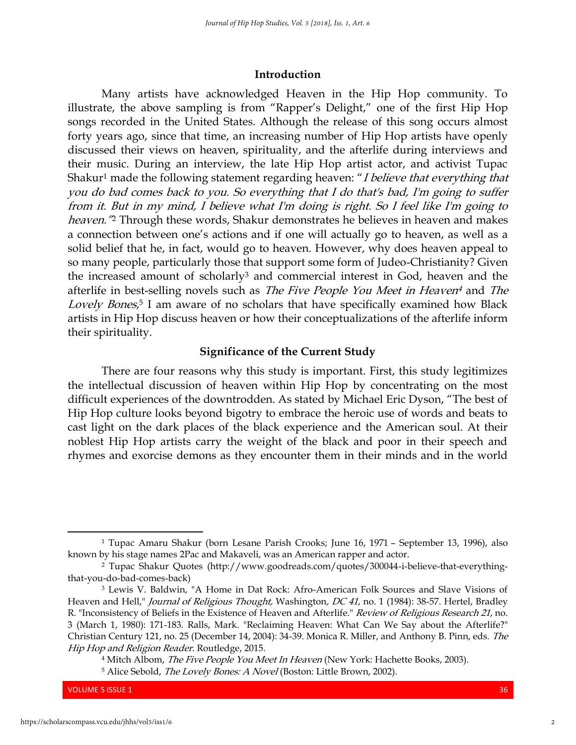#### **Introduction**

Many artists have acknowledged Heaven in the Hip Hop community. To illustrate, the above sampling is from "Rapper's Delight," one of the first Hip Hop songs recorded in the United States. Although the release of this song occurs almost forty years ago, since that time, an increasing number of Hip Hop artists have openly discussed their views on heaven, spirituality, and the afterlife during interviews and their music. During an interview, the late Hip Hop artist actor, and activist Tupac Shakur<sup>1</sup> made the following statement regarding heaven: "*I believe that everything that* you do bad comes back to you. So everything that I do that's bad, I'm going to suffer from it. But in my mind, I believe what I'm doing is right. So I feel like I'm going to heaven.<sup>"2</sup> Through these words, Shakur demonstrates he believes in heaven and makes a connection between one's actions and if one will actually go to heaven, as well as a solid belief that he, in fact, would go to heaven. However, why does heaven appeal to so many people, particularly those that support some form of Judeo-Christianity? Given the increased amount of scholarly<sup>3</sup> and commercial interest in God, heaven and the afterlife in best-selling novels such as *The Five People You Meet in Heaven<sup>4</sup>* and *The* Lovely Bones,<sup>5</sup> I am aware of no scholars that have specifically examined how Black artists in Hip Hop discuss heaven or how their conceptualizations of the afterlife inform their spirituality.

## **Significance of the Current Study**

There are four reasons why this study is important. First, this study legitimizes the intellectual discussion of heaven within Hip Hop by concentrating on the most difficult experiences of the downtrodden. As stated by Michael Eric Dyson, "The best of Hip Hop culture looks beyond bigotry to embrace the heroic use of words and beats to cast light on the dark places of the black experience and the American soul. At their noblest Hip Hop artists carry the weight of the black and poor in their speech and rhymes and exorcise demons as they encounter them in their minds and in the world

<sup>4</sup> Mitch Albom, *The Five People You Meet In Heaven* (New York: Hachette Books, 2003).

VOLUME 5 ISSUE 1 36 NOVEMBER 2008 1 36 NOVEMBER 2008 1 36 NOVEMBER 2008 1 36 NOVEMBER 2008 1 36 NOVEMBER 2008

 $\overline{\phantom{a}}$ 

2

<sup>1</sup> Tupac Amaru Shakur (born Lesane Parish Crooks; June 16, 1971 – September 13, 1996), also known by his stage names 2Pac and Makaveli, was an American rapper and actor.

<sup>2</sup> Tupac Shakur Quotes (http://www.goodreads.com/quotes/300044-i-believe-that-everythingthat-you-do-bad-comes-back)

<sup>3</sup> Lewis V. Baldwin, "A Home in Dat Rock: Afro-American Folk Sources and Slave Visions of Heaven and Hell," Journal of Religious Thought, Washington, DC 41, no. 1 (1984): 38-57. Hertel, Bradley R. "Inconsistency of Beliefs in the Existence of Heaven and Afterlife." Review of Religious Research 21, no. 3 (March 1, 1980): 171-183. Ralls, Mark. "Reclaiming Heaven: What Can We Say about the Afterlife?" Christian Century 121, no. 25 (December 14, 2004): 34-39. Monica R. Miller, and Anthony B. Pinn, eds. The Hip Hop and Religion Reader. Routledge, 2015.

<sup>&</sup>lt;sup>5</sup> Alice Sebold, *The Lovely Bones: A Novel* (Boston: Little Brown, 2002).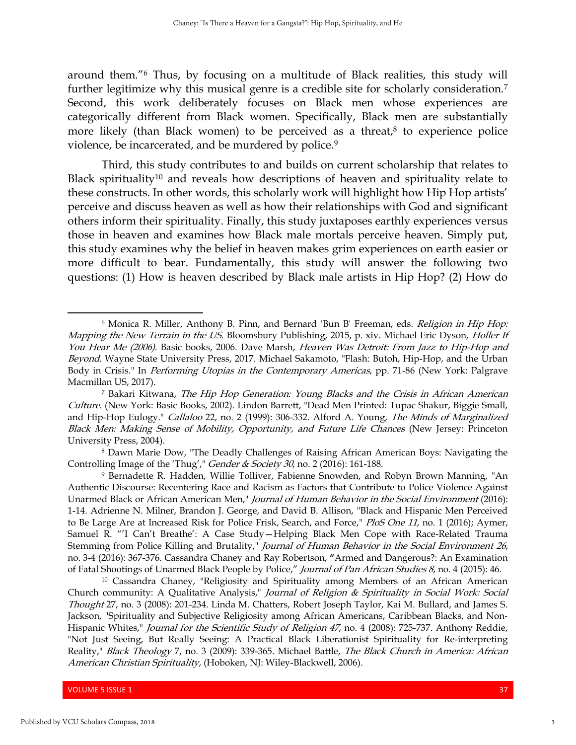around them."<sup>6</sup> Thus, by focusing on a multitude of Black realities, this study will further legitimize why this musical genre is a credible site for scholarly consideration.<sup>7</sup> Second, this work deliberately focuses on Black men whose experiences are categorically different from Black women. Specifically, Black men are substantially more likely (than Black women) to be perceived as a threat, $8$  to experience police violence, be incarcerated, and be murdered by police. 9

Third, this study contributes to and builds on current scholarship that relates to Black spirituality<sup>10</sup> and reveals how descriptions of heaven and spirituality relate to these constructs. In other words, this scholarly work will highlight how Hip Hop artists' perceive and discuss heaven as well as how their relationships with God and significant others inform their spirituality. Finally, this study juxtaposes earthly experiences versus those in heaven and examines how Black male mortals perceive heaven. Simply put, this study examines why the belief in heaven makes grim experiences on earth easier or more difficult to bear. Fundamentally, this study will answer the following two questions: (1) How is heaven described by Black male artists in Hip Hop? (2) How do

<sup>8</sup> Dawn Marie Dow, "The Deadly Challenges of Raising African American Boys: Navigating the Controlling Image of the 'Thug'," Gender & Society 30, no. 2 (2016): 161-188.

<sup>9</sup> Bernadette R. Hadden, Willie Tolliver, Fabienne Snowden, and Robyn Brown Manning, "An Authentic Discourse: Recentering Race and Racism as Factors that Contribute to Police Violence Against Unarmed Black or African American Men," Journal of Human Behavior in the Social Environment (2016): 1-14. Adrienne N. Milner, Brandon J. George, and David B. Allison, "Black and Hispanic Men Perceived to Be Large Are at Increased Risk for Police Frisk, Search, and Force," PloS One 11, no. 1 (2016); Aymer, Samuel R. "'I Can't Breathe': A Case Study—Helping Black Men Cope with Race-Related Trauma Stemming from Police Killing and Brutality," Journal of Human Behavior in the Social Environment 26, no. 3-4 (2016): 367-376. Cassandra Chaney and Ray Robertson, **"**Armed and Dangerous?: An Examination of Fatal Shootings of Unarmed Black People by Police," Journal of Pan African Studies 8, no. 4 (2015): 46.

<sup>10</sup> Cassandra Chaney, "Religiosity and Spirituality among Members of an African American Church community: A Qualitative Analysis," Journal of Religion & Spirituality in Social Work: Social Thought 27, no. 3 (2008): 201-234. Linda M. Chatters, Robert Joseph Taylor, Kai M. Bullard, and James S. Jackson, "Spirituality and Subjective Religiosity among African Americans, Caribbean Blacks, and Non‐ Hispanic Whites," Journal for the Scientific Study of Religion 47, no. 4 (2008): 725-737. Anthony Reddie, "Not Just Seeing, But Really Seeing: A Practical Black Liberationist Spirituality for Re-interpreting Reality," Black Theology 7, no. 3 (2009): 339-365. Michael Battle, The Black Church in America: African American Christian Spirituality, (Hoboken, NJ: Wiley-Blackwell, 2006).

#### VOLUME 5 ISSUE 1 37 NOVEMBER 2008 1 37 NOVEMBER 2009 1 37 NOVEMBER 2009 1 37 NOVEMBER 2009 1 37 NOVEMBER 37

<sup>&</sup>lt;sup>6</sup> Monica R. Miller, Anthony B. Pinn, and Bernard 'Bun B' Freeman, eds. *Religion in Hip Hop:* Mapping the New Terrain in the US. Bloomsbury Publishing, 2015, p. xiv. Michael Eric Dyson, Holler If You Hear Me (2006). Basic books, 2006. Dave Marsh, Heaven Was Detroit: From Jazz to Hip-Hop and Beyond. Wayne State University Press, 2017. Michael Sakamoto, "Flash: Butoh, Hip-Hop, and the Urban Body in Crisis." In Performing Utopias in the Contemporary Americas, pp. 71-86 (New York: Palgrave Macmillan US, 2017).

<sup>7</sup> Bakari Kitwana, The Hip Hop Generation: Young Blacks and the Crisis in African American Culture. (New York: Basic Books, 2002). Lindon Barrett, "Dead Men Printed: Tupac Shakur, Biggie Small, and Hip-Hop Eulogy." Callaloo 22, no. 2 (1999): 306-332. Alford A. Young, The Minds of Marginalized Black Men: Making Sense of Mobility, Opportunity, and Future Life Chances (New Jersey: Princeton University Press, 2004).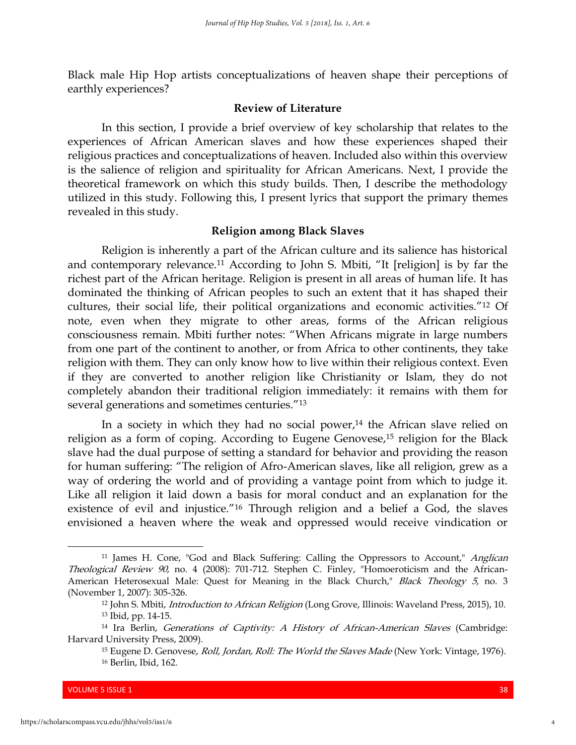Black male Hip Hop artists conceptualizations of heaven shape their perceptions of earthly experiences?

## **Review of Literature**

In this section, I provide a brief overview of key scholarship that relates to the experiences of African American slaves and how these experiences shaped their religious practices and conceptualizations of heaven. Included also within this overview is the salience of religion and spirituality for African Americans. Next, I provide the theoretical framework on which this study builds. Then, I describe the methodology utilized in this study. Following this, I present lyrics that support the primary themes revealed in this study.

## **Religion among Black Slaves**

Religion is inherently a part of the African culture and its salience has historical and contemporary relevance.<sup>11</sup> According to John S. Mbiti, "It [religion] is by far the richest part of the African heritage. Religion is present in all areas of human life. It has dominated the thinking of African peoples to such an extent that it has shaped their cultures, their social life, their political organizations and economic activities."<sup>12</sup> Of note, even when they migrate to other areas, forms of the African religious consciousness remain. Mbiti further notes: "When Africans migrate in large numbers from one part of the continent to another, or from Africa to other continents, they take religion with them. They can only know how to live within their religious context. Even if they are converted to another religion like Christianity or Islam, they do not completely abandon their traditional religion immediately: it remains with them for several generations and sometimes centuries."<sup>13</sup>

In a society in which they had no social power, $14$  the African slave relied on religion as a form of coping. According to Eugene Genovese,<sup>15</sup> religion for the Black slave had the dual purpose of setting a standard for behavior and providing the reason for human suffering: "The religion of Afro-American slaves, like all religion, grew as a way of ordering the world and of providing a vantage point from which to judge it. Like all religion it laid down a basis for moral conduct and an explanation for the existence of evil and injustice."<sup>16</sup> Through religion and a belief a God, the slaves envisioned a heaven where the weak and oppressed would receive vindication or

l

<sup>&</sup>lt;sup>11</sup> James H. Cone, "God and Black Suffering: Calling the Oppressors to Account," Anglican Theological Review 90, no. 4 (2008): 701-712. Stephen C. Finley, "Homoeroticism and the African-American Heterosexual Male: Quest for Meaning in the Black Church," Black Theology 5, no. 3 (November 1, 2007): 305-326.

<sup>&</sup>lt;sup>12</sup> John S. Mbiti, *Introduction to African Religion* (Long Grove, Illinois: Waveland Press, 2015), 10. <sup>13</sup> Ibid, pp. 14-15.

<sup>&</sup>lt;sup>14</sup> Ira Berlin, Generations of Captivity: A History of African-American Slaves (Cambridge: Harvard University Press, 2009).

<sup>&</sup>lt;sup>15</sup> Eugene D. Genovese, *Roll, Jordan, Roll: The World the Slaves Made* (New York: Vintage, 1976). <sup>16</sup> Berlin, Ibid, 162.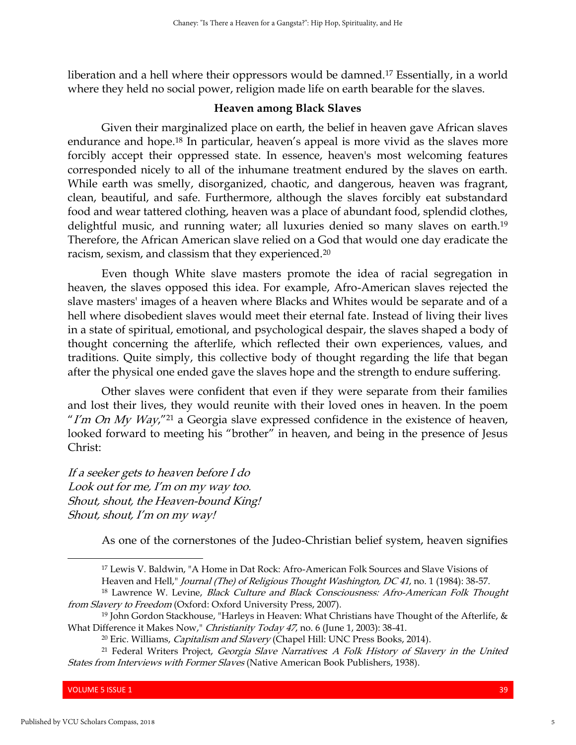liberation and a hell where their oppressors would be damned.<sup>17</sup> Essentially, in a world where they held no social power, religion made life on earth bearable for the slaves.

# **Heaven among Black Slaves**

Given their marginalized place on earth, the belief in heaven gave African slaves endurance and hope.<sup>18</sup> In particular, heaven's appeal is more vivid as the slaves more forcibly accept their oppressed state. In essence, heaven's most welcoming features corresponded nicely to all of the inhumane treatment endured by the slaves on earth. While earth was smelly, disorganized, chaotic, and dangerous, heaven was fragrant, clean, beautiful, and safe. Furthermore, although the slaves forcibly eat substandard food and wear tattered clothing, heaven was a place of abundant food, splendid clothes, delightful music, and running water; all luxuries denied so many slaves on earth.<sup>19</sup> Therefore, the African American slave relied on a God that would one day eradicate the racism, sexism, and classism that they experienced.<sup>20</sup>

Even though White slave masters promote the idea of racial segregation in heaven, the slaves opposed this idea. For example, Afro-American slaves rejected the slave masters' images of a heaven where Blacks and Whites would be separate and of a hell where disobedient slaves would meet their eternal fate. Instead of living their lives in a state of spiritual, emotional, and psychological despair, the slaves shaped a body of thought concerning the afterlife, which reflected their own experiences, values, and traditions. Quite simply, this collective body of thought regarding the life that began after the physical one ended gave the slaves hope and the strength to endure suffering.

Other slaves were confident that even if they were separate from their families and lost their lives, they would reunite with their loved ones in heaven. In the poem "I'm On My Way,"<sup>21</sup> a Georgia slave expressed confidence in the existence of heaven, looked forward to meeting his "brother" in heaven, and being in the presence of Jesus Christ:

If a seeker gets to heaven before I do <sup>L</sup>ook out for me, I'm on my way too. Shout, shout, the Heaven-bound King! Shout, shout, I'm on my way!

As one of the cornerstones of the Judeo-Christian belief system, heaven signifies

<sup>17</sup> Lewis V. Baldwin, "A Home in Dat Rock: Afro-American Folk Sources and Slave Visions of

Heaven and Hell," *Journal (The) of Religious Thought Washington, DC 41*, no. 1 (1984): 38-57.

<sup>&</sup>lt;sup>18</sup> Lawrence W. Levine, *Black Culture and Black Consciousness: Afro-American Folk Thought* from Slavery to Freedom (Oxford: Oxford University Press, 2007).

<sup>&</sup>lt;sup>19</sup> John Gordon Stackhouse, "Harleys in Heaven: What Christians have Thought of the Afterlife,  $\&$ What Difference it Makes Now," Christianity Today 47, no. 6 (June 1, 2003): 38-41.

<sup>&</sup>lt;sup>20</sup> Eric. Williams, *Capitalism and Slavery* (Chapel Hill: UNC Press Books, 2014).

<sup>21</sup> Federal Writers Project, Georgia Slave Narratives*:* A Folk History of Slavery in the United States from Interviews with Former Slaves (Native American Book Publishers, 1938).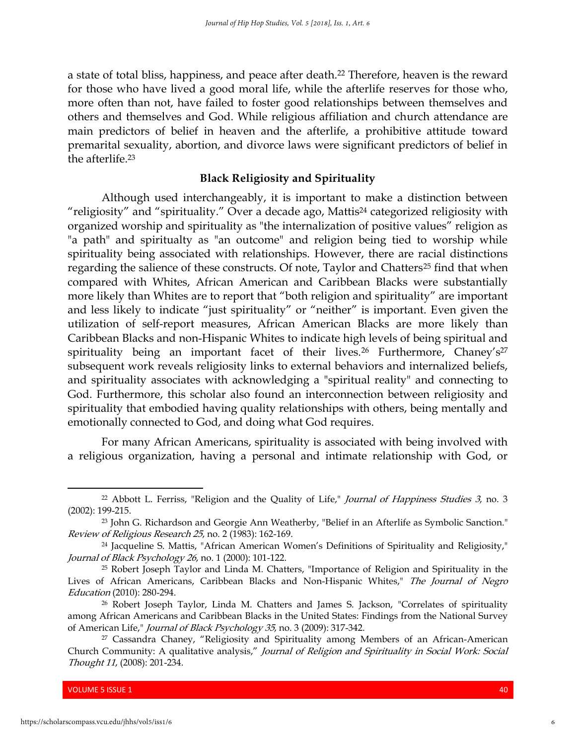a state of total bliss, happiness, and peace after death.<sup>22</sup> Therefore, heaven is the reward for those who have lived a good moral life, while the afterlife reserves for those who, more often than not, have failed to foster good relationships between themselves and others and themselves and God. While religious affiliation and church attendance are main predictors of belief in heaven and the afterlife, a prohibitive attitude toward premarital sexuality, abortion, and divorce laws were significant predictors of belief in the afterlife.<sup>23</sup>

## **Black Religiosity and Spirituality**

Although used interchangeably, it is important to make a distinction between "religiosity" and "spirituality." Over a decade ago, Mattis<sup>24</sup> categorized religiosity with organized worship and spirituality as "the internalization of positive values" religion as "a path" and spiritualty as "an outcome" and religion being tied to worship while spirituality being associated with relationships. However, there are racial distinctions regarding the salience of these constructs. Of note, Taylor and Chatters<sup>25</sup> find that when compared with Whites, African American and Caribbean Blacks were substantially more likely than Whites are to report that "both religion and spirituality" are important and less likely to indicate "just spirituality" or "neither" is important. Even given the utilization of self-report measures, African American Blacks are more likely than Caribbean Blacks and non-Hispanic Whites to indicate high levels of being spiritual and spirituality being an important facet of their lives.<sup>26</sup> Furthermore, Chaney's<sup>27</sup> subsequent work reveals religiosity links to external behaviors and internalized beliefs, and spirituality associates with acknowledging a "spiritual reality" and connecting to God. Furthermore, this scholar also found an interconnection between religiosity and spirituality that embodied having quality relationships with others, being mentally and emotionally connected to God, and doing what God requires.

For many African Americans, spirituality is associated with being involved with a religious organization, having a personal and intimate relationship with God, or

<sup>&</sup>lt;sup>22</sup> Abbott L. Ferriss, "Religion and the Quality of Life," *Journal of Happiness Studies 3*, no. 3 (2002): 199-215.

<sup>&</sup>lt;sup>23</sup> John G. Richardson and Georgie Ann Weatherby, "Belief in an Afterlife as Symbolic Sanction." Review of Religious Research 25, no. 2 (1983): 162-169.

<sup>24</sup> Jacqueline S. Mattis, "African American Women's Definitions of Spirituality and Religiosity," Journal of Black Psychology 26, no. 1 (2000): 101-122.

<sup>25</sup> Robert Joseph Taylor and Linda M. Chatters, "Importance of Religion and Spirituality in the Lives of African Americans, Caribbean Blacks and Non-Hispanic Whites," The Journal of Negro Education (2010): 280-294.

<sup>26</sup> Robert Joseph Taylor, Linda M. Chatters and James S. Jackson, "Correlates of spirituality among African Americans and Caribbean Blacks in the United States: Findings from the National Survey of American Life," Journal of Black Psychology 35, no. 3 (2009): 317-342.

<sup>27</sup> Cassandra Chaney, "Religiosity and Spirituality among Members of an African-American Church Community: A qualitative analysis," Journal of Religion and Spirituality in Social Work: Social Thought 11, (2008): 201-234.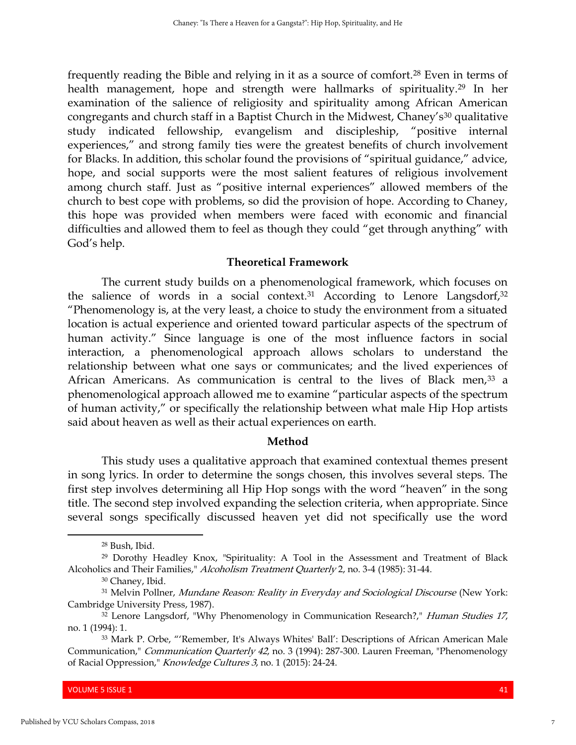frequently reading the Bible and relying in it as a source of comfort.<sup>28</sup> Even in terms of health management, hope and strength were hallmarks of spirituality.<sup>29</sup> In her examination of the salience of religiosity and spirituality among African American congregants and church staff in a Baptist Church in the Midwest, Chaney's<sup>30</sup> qualitative study indicated fellowship, evangelism and discipleship, "positive internal experiences," and strong family ties were the greatest benefits of church involvement for Blacks. In addition, this scholar found the provisions of "spiritual guidance," advice, hope, and social supports were the most salient features of religious involvement among church staff. Just as "positive internal experiences" allowed members of the church to best cope with problems, so did the provision of hope. According to Chaney, this hope was provided when members were faced with economic and financial difficulties and allowed them to feel as though they could "get through anything" with God's help.

## **Theoretical Framework**

The current study builds on a phenomenological framework, which focuses on the salience of words in a social context.<sup>31</sup> According to Lenore Langsdorf, $32$ "Phenomenology is, at the very least, a choice to study the environment from a situated location is actual experience and oriented toward particular aspects of the spectrum of human activity." Since language is one of the most influence factors in social interaction, a phenomenological approach allows scholars to understand the relationship between what one says or communicates; and the lived experiences of African Americans. As communication is central to the lives of Black men,<sup>33</sup> a phenomenological approach allowed me to examine "particular aspects of the spectrum of human activity," or specifically the relationship between what male Hip Hop artists said about heaven as well as their actual experiences on earth.

## **Method**

This study uses a qualitative approach that examined contextual themes present in song lyrics. In order to determine the songs chosen, this involves several steps. The first step involves determining all Hip Hop songs with the word "heaven" in the song title. The second step involved expanding the selection criteria, when appropriate. Since several songs specifically discussed heaven yet did not specifically use the word

 $\overline{a}$ 

<sup>28</sup> Bush, Ibid.

<sup>&</sup>lt;sup>29</sup> Dorothy Headley Knox, "Spirituality: A Tool in the Assessment and Treatment of Black Alcoholics and Their Families," Alcoholism Treatment Quarterly 2, no. 3-4 (1985): 31-44.

<sup>30</sup> Chaney, Ibid.

<sup>&</sup>lt;sup>31</sup> Melvin Pollner, *Mundane Reason: Reality in Everyday and Sociological Discourse* (New York: Cambridge University Press, 1987).

<sup>&</sup>lt;sup>32</sup> Lenore Langsdorf, "Why Phenomenology in Communication Research?," Human Studies 17, no. 1 (1994): 1.

<sup>33</sup> Mark P. Orbe, "'Remember, It's Always Whites' Ball': Descriptions of African American Male Communication," Communication Quarterly 42, no. 3 (1994): 287-300. Lauren Freeman, "Phenomenology of Racial Oppression," Knowledge Cultures 3, no. 1 (2015): 24-24.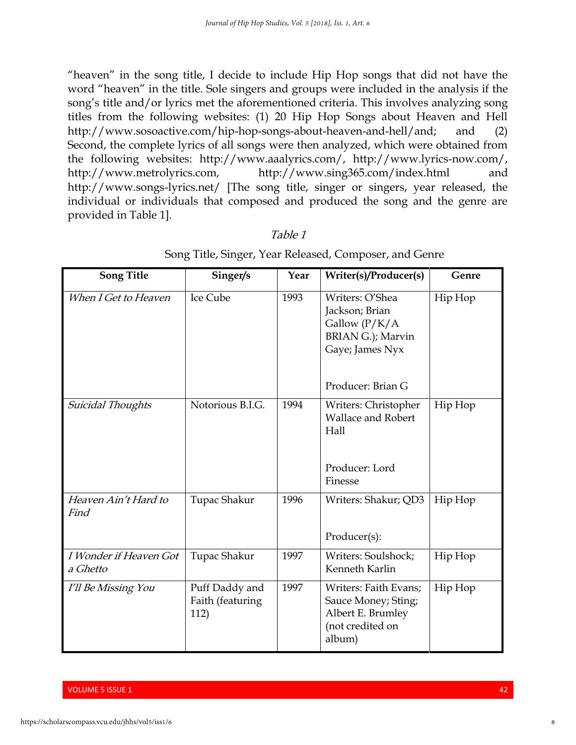"heaven" in the song title, I decide to include Hip Hop songs that did not have the word "heaven" in the title. Sole singers and groups were included in the analysis if the song's title and/or lyrics met the aforementioned criteria. This involves analyzing song titles from the following websites: (1) 20 Hip Hop Songs about Heaven and Hell [http://www.sosoactive.com/hip-hop-songs-about-heaven-and-hell/and;](http://www.sosoactive.com/hip-hop-songs-about-heaven-and-hell/and) and (2) Second, the complete lyrics of all songs were then analyzed, which were obtained from the following websites: [http://www.aaalyrics.com/,](http://www.aaalyrics.com/) [http://www.lyrics-now.com/,](http://www.lyrics-now.com/) [http://www.metrolyrics.com,](http://www.metrolyrics.com/) <http://www.sing365.com/index.html> and <http://www.songs-lyrics.net/> [The song title, singer or singers, year released, the individual or individuals that composed and produced the song and the genre are provided in Table 1].

|  | Song Title, Singer, Year Released, Composer, and Genre |  |  |  |  |
|--|--------------------------------------------------------|--|--|--|--|
|  |                                                        |  |  |  |  |

| <b>Song Title</b>                  | Singer/s                                   | Year | Writer(s)/Producer(s)                                                                                              | Genre   |
|------------------------------------|--------------------------------------------|------|--------------------------------------------------------------------------------------------------------------------|---------|
| When I Get to Heaven               | Ice Cube                                   | 1993 | Writers: O'Shea<br>Jackson; Brian<br>Gallow $(P/K/A)$<br>BRIAN G.); Marvin<br>Gaye; James Nyx<br>Producer: Brian G | Hip Hop |
| Suicidal Thoughts                  | Notorious B.I.G.<br>1994<br>Hall           |      | Writers: Christopher<br><b>Wallace and Robert</b><br>Producer: Lord<br>Finesse                                     | Hip Hop |
| Heaven Ain't Hard to<br>Find       | Tupac Shakur                               | 1996 | Writers: Shakur; QD3<br>Producer(s):                                                                               | Hip Hop |
| I Wonder if Heaven Got<br>a Ghetto | Tupac Shakur                               | 1997 | Writers: Soulshock;<br>Kenneth Karlin                                                                              | Hip Hop |
| I'll Be Missing You                | Puff Daddy and<br>Faith (featuring<br>112) | 1997 | Writers: Faith Evans;<br>Sauce Money; Sting;<br>Albert E. Brumley<br>(not credited on<br>album)                    | Hip Hop |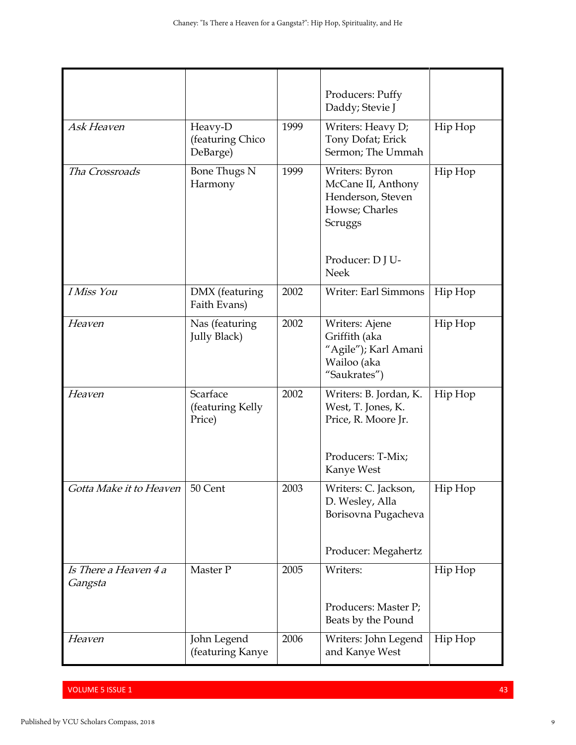|                                  |                                         |      | Producers: Puffy<br>Daddy; Stevie J                                                                    |         |
|----------------------------------|-----------------------------------------|------|--------------------------------------------------------------------------------------------------------|---------|
| Ask Heaven                       | Heavy-D<br>(featuring Chico<br>DeBarge) | 1999 | Writers: Heavy D;<br>Tony Dofat; Erick<br>Sermon; The Ummah                                            | Hip Hop |
| Tha Crossroads                   | Bone Thugs N<br>Harmony                 | 1999 | Writers: Byron<br>McCane II, Anthony<br>Henderson, Steven<br>Howse; Charles<br>Scruggs                 | Hip Hop |
|                                  |                                         |      | Producer: D J U-<br><b>Neek</b>                                                                        |         |
| <b>I</b> Miss You                | DMX (featuring<br>Faith Evans)          | 2002 | <b>Writer: Earl Simmons</b>                                                                            | Hip Hop |
| Heaven                           | Nas (featuring<br><b>Jully Black)</b>   | 2002 | Writers: Ajene<br>Griffith (aka<br>"Agile"); Karl Amani<br>Wailoo (aka<br>"Saukrates")                 | Hip Hop |
| Heaven                           | Scarface<br>(featuring Kelly<br>Price)  | 2002 | Writers: B. Jordan, K.<br>West, T. Jones, K.<br>Price, R. Moore Jr.<br>Producers: T-Mix;<br>Kanye West | Hip Hop |
| Gotta Make it to Heaven          | 50 Cent                                 | 2003 | Writers: C. Jackson,<br>D. Wesley, Alla<br>Borisovna Pugacheva<br>Producer: Megahertz                  | Hip Hop |
| Is There a Heaven 4 a<br>Gangsta | Master P                                | 2005 | Writers:<br>Producers: Master P;<br>Beats by the Pound                                                 | Hip Hop |
| Heaven                           | John Legend<br>(featuring Kanye         | 2006 | Writers: John Legend<br>and Kanye West                                                                 | Hip Hop |

VOLUME 5 ISSUE 1 43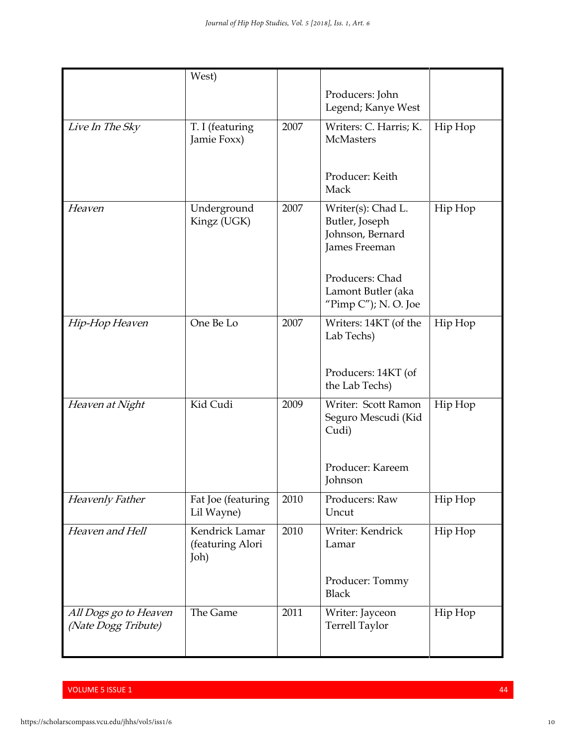|                                              | West)                                      |      |                                                                           |         |
|----------------------------------------------|--------------------------------------------|------|---------------------------------------------------------------------------|---------|
|                                              |                                            |      | Producers: John<br>Legend; Kanye West                                     |         |
| Live In The Sky                              | T. I (featuring<br>Jamie Foxx)             | 2007 | Writers: C. Harris; K.<br><b>McMasters</b>                                | Hip Hop |
|                                              |                                            |      | Producer: Keith<br>Mack                                                   |         |
| Heaven                                       | Underground<br>Kingz (UGK)                 | 2007 | Writer(s): Chad L.<br>Butler, Joseph<br>Johnson, Bernard<br>James Freeman | Hip Hop |
|                                              |                                            |      | Producers: Chad<br>Lamont Butler (aka<br>"Pimp $C$ "); N. O. Joe          |         |
| Hip-Hop Heaven                               | One Be Lo                                  | 2007 | Writers: 14KT (of the<br>Lab Techs)                                       | Hip Hop |
|                                              |                                            |      | Producers: 14KT (of<br>the Lab Techs)                                     |         |
| Heaven at Night                              | Kid Cudi                                   | 2009 | Writer: Scott Ramon<br>Seguro Mescudi (Kid<br>Cudi)                       | Hip Hop |
|                                              |                                            |      | Producer: Kareem<br>Johnson                                               |         |
| Heavenly Father                              | Fat Joe (featuring<br>Lil Wayne)           | 2010 | Producers: Raw<br>Uncut                                                   | Hip Hop |
| Heaven and Hell                              | Kendrick Lamar<br>(featuring Alori<br>Joh) | 2010 | Writer: Kendrick<br>Lamar                                                 | Hip Hop |
|                                              |                                            |      | Producer: Tommy<br><b>Black</b>                                           |         |
| All Dogs go to Heaven<br>(Nate Dogg Tribute) | The Game                                   | 2011 | Writer: Jayceon<br><b>Terrell Taylor</b>                                  | Hip Hop |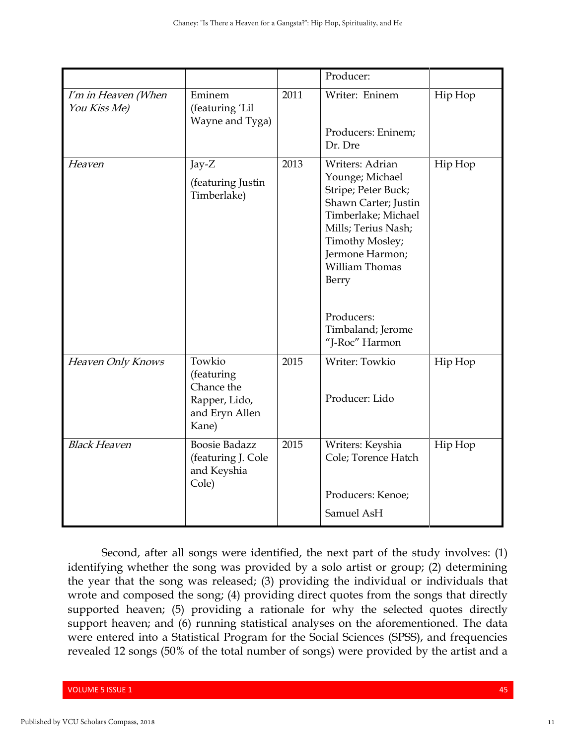|                                     |                                                                                |      | Producer:                                                                                                                                                                                                                                                    |         |
|-------------------------------------|--------------------------------------------------------------------------------|------|--------------------------------------------------------------------------------------------------------------------------------------------------------------------------------------------------------------------------------------------------------------|---------|
| I'm in Heaven (When<br>You Kiss Me) | Eminem<br>(featuring 'Lil<br>Wayne and Tyga)                                   | 2011 | Writer: Eninem<br>Producers: Eninem;<br>Dr. Dre                                                                                                                                                                                                              | Hip Hop |
| Heaven                              | Jay-Z<br>(featuring Justin<br>Timberlake)                                      | 2013 | Writers: Adrian<br>Younge; Michael<br>Stripe; Peter Buck;<br>Shawn Carter; Justin<br>Timberlake; Michael<br>Mills; Terius Nash;<br>Timothy Mosley;<br>Jermone Harmon;<br><b>William Thomas</b><br>Berry<br>Producers:<br>Timbaland; Jerome<br>"J-Roc" Harmon | Hip Hop |
| Heaven Only Knows                   | Towkio<br>(featuring<br>Chance the<br>Rapper, Lido,<br>and Eryn Allen<br>Kane) | 2015 | Writer: Towkio<br>Producer: Lido                                                                                                                                                                                                                             | Hip Hop |
| <b>Black Heaven</b>                 | <b>Boosie Badazz</b><br>(featuring J. Cole<br>and Keyshia<br>Cole)             | 2015 | Writers: Keyshia<br>Cole; Torence Hatch<br>Producers: Kenoe;<br>Samuel AsH                                                                                                                                                                                   | Hip Hop |

Second, after all songs were identified, the next part of the study involves: (1) identifying whether the song was provided by a solo artist or group; (2) determining the year that the song was released; (3) providing the individual or individuals that wrote and composed the song; (4) providing direct quotes from the songs that directly supported heaven; (5) providing a rationale for why the selected quotes directly support heaven; and (6) running statistical analyses on the aforementioned. The data were entered into a Statistical Program for the Social Sciences (SPSS), and frequencies revealed 12 songs (50% of the total number of songs) were provided by the artist and a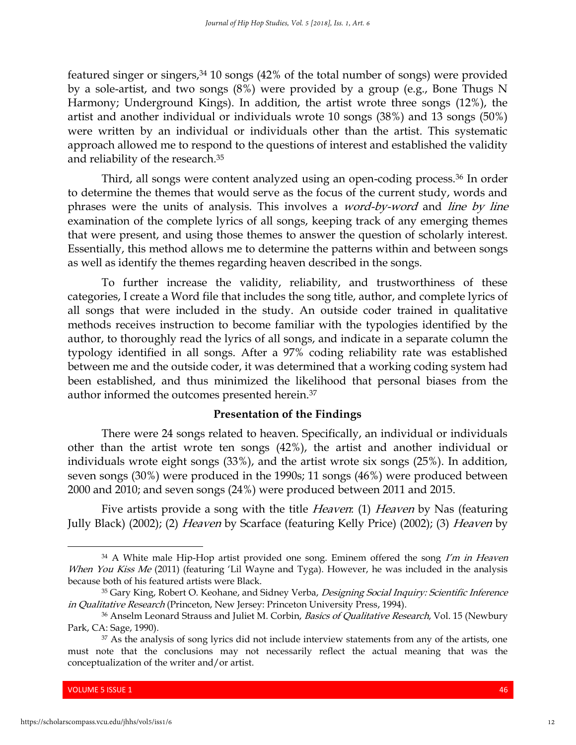featured singer or singers,<sup>34</sup> 10 songs (42% of the total number of songs) were provided by a sole-artist, and two songs (8%) were provided by a group (e.g., Bone Thugs N Harmony; Underground Kings). In addition, the artist wrote three songs (12%), the artist and another individual or individuals wrote 10 songs (38%) and 13 songs (50%) were written by an individual or individuals other than the artist. This systematic approach allowed me to respond to the questions of interest and established the validity and reliability of the research.<sup>35</sup>

Third, all songs were content analyzed using an open-coding process.<sup>36</sup> In order to determine the themes that would serve as the focus of the current study, words and phrases were the units of analysis. This involves a word-by-word and line by line examination of the complete lyrics of all songs, keeping track of any emerging themes that were present, and using those themes to answer the question of scholarly interest. Essentially, this method allows me to determine the patterns within and between songs as well as identify the themes regarding heaven described in the songs.

To further increase the validity, reliability, and trustworthiness of these categories, I create a Word file that includes the song title, author, and complete lyrics of all songs that were included in the study. An outside coder trained in qualitative methods receives instruction to become familiar with the typologies identified by the author, to thoroughly read the lyrics of all songs, and indicate in a separate column the typology identified in all songs. After a 97% coding reliability rate was established between me and the outside coder, it was determined that a working coding system had been established, and thus minimized the likelihood that personal biases from the author informed the outcomes presented herein.<sup>37</sup>

# **Presentation of the Findings**

There were 24 songs related to heaven. Specifically, an individual or individuals other than the artist wrote ten songs (42%), the artist and another individual or individuals wrote eight songs (33%), and the artist wrote six songs (25%). In addition, seven songs (30%) were produced in the 1990s; 11 songs (46%) were produced between 2000 and 2010; and seven songs (24%) were produced between 2011 and 2015.

Five artists provide a song with the title *Heaven*: (1) *Heaven* by Nas (featuring Jully Black) (2002); (2) Heaven by Scarface (featuring Kelly Price) (2002); (3) Heaven by

l

 $34$  A White male Hip-Hop artist provided one song. Eminem offered the song I'm in Heaven When You Kiss Me (2011) (featuring 'Lil Wayne and Tyga). However, he was included in the analysis because both of his featured artists were Black.

<sup>&</sup>lt;sup>35</sup> Gary King, Robert O. Keohane, and Sidney Verba, *Designing Social Inquiry: Scientific Inference* in Qualitative Research (Princeton, New Jersey: Princeton University Press, 1994).

<sup>&</sup>lt;sup>36</sup> Anselm Leonard Strauss and Juliet M. Corbin, *Basics of Qualitative Research*, Vol. 15 (Newbury Park, CA: Sage, 1990).

<sup>&</sup>lt;sup>37</sup> As the analysis of song lyrics did not include interview statements from any of the artists, one must note that the conclusions may not necessarily reflect the actual meaning that was the conceptualization of the writer and/or artist.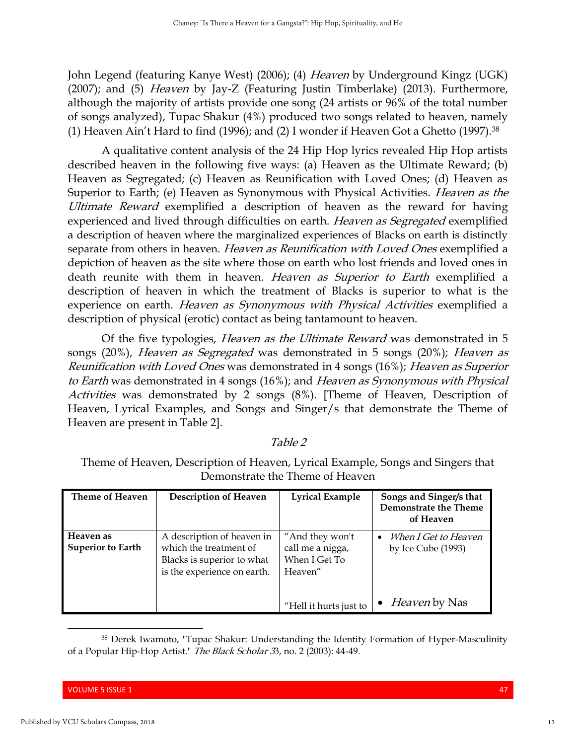John Legend (featuring Kanye West) (2006); (4) Heaven by Underground Kingz (UGK) (2007); and (5) Heaven by Jay-Z (Featuring Justin Timberlake) (2013). Furthermore, although the majority of artists provide one song (24 artists or 96% of the total number of songs analyzed), Tupac Shakur (4%) produced two songs related to heaven, namely (1) Heaven Ain't Hard to find (1996); and (2) I wonder if Heaven Got a Ghetto (1997).<sup>38</sup>

A qualitative content analysis of the 24 Hip Hop lyrics revealed Hip Hop artists described heaven in the following five ways: (a) Heaven as the Ultimate Reward; (b) Heaven as Segregated; (c) Heaven as Reunification with Loved Ones; (d) Heaven as Superior to Earth; (e) Heaven as Synonymous with Physical Activities. Heaven as the Ultimate Reward exemplified a description of heaven as the reward for having experienced and lived through difficulties on earth. Heaven as Segregated exemplified a description of heaven where the marginalized experiences of Blacks on earth is distinctly separate from others in heaven. Heaven as Reunification with Loved Ones exemplified a depiction of heaven as the site where those on earth who lost friends and loved ones in death reunite with them in heaven. Heaven as Superior to Earth exemplified a description of heaven in which the treatment of Blacks is superior to what is the experience on earth. Heaven as Synonymous with Physical Activities exemplified a description of physical (erotic) contact as being tantamount to heaven.

Of the five typologies, Heaven as the Ultimate Reward was demonstrated in 5 songs (20%), Heaven as Segregated was demonstrated in 5 songs (20%); Heaven as Reunification with Loved Ones was demonstrated in 4 songs (16%); Heaven as Superior to Earth was demonstrated in 4 songs (16%); and Heaven as Synonymous with Physical Activities was demonstrated by 2 songs (8%). [Theme of Heaven, Description of Heaven, Lyrical Examples, and Songs and Singer/s that demonstrate the Theme of Heaven are present in Table 2].

Table 2

Theme of Heaven, Description of Heaven, Lyrical Example, Songs and Singers that Demonstrate the Theme of Heaven

| Theme of Heaven                       | <b>Description of Heaven</b>                                                                                      | <b>Lyrical Example</b>                                          | Songs and Singer/s that<br>Demonstrate the Theme<br>of Heaven |
|---------------------------------------|-------------------------------------------------------------------------------------------------------------------|-----------------------------------------------------------------|---------------------------------------------------------------|
| Heaven as<br><b>Superior to Earth</b> | A description of heaven in<br>which the treatment of<br>Blacks is superior to what<br>is the experience on earth. | "And they won't<br>call me a nigga,<br>When I Get To<br>Heaven" | When I Get to Heaven<br>$\bullet$<br>by Ice Cube (1993)       |
|                                       |                                                                                                                   | "Hell it hurts just to                                          | • <i>Heaven</i> by Nas                                        |

<sup>38</sup> Derek Iwamoto, "Tupac Shakur: Understanding the Identity Formation of Hyper-Masculinity of a Popular Hip-Hop Artist." The Black Scholar 33, no. 2 (2003): 44-49.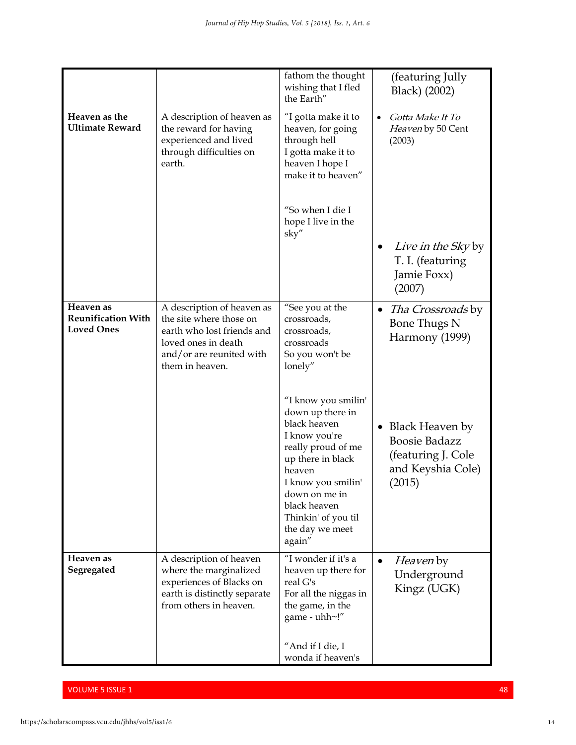|                                                             |                                                                                                                                                           | fathom the thought<br>wishing that I fled<br>the Earth"                                                                                                                                                                                  | (featuring Jully<br>Black) (2002)                                                              |
|-------------------------------------------------------------|-----------------------------------------------------------------------------------------------------------------------------------------------------------|------------------------------------------------------------------------------------------------------------------------------------------------------------------------------------------------------------------------------------------|------------------------------------------------------------------------------------------------|
| Heaven as the<br><b>Ultimate Reward</b>                     | A description of heaven as<br>the reward for having<br>experienced and lived<br>through difficulties on<br>earth.                                         | "I gotta make it to<br>heaven, for going<br>through hell<br>I gotta make it to<br>heaven I hope I<br>make it to heaven"                                                                                                                  | Gotta Make It To<br>$\bullet$<br>Heaven by 50 Cent<br>(2003)                                   |
|                                                             |                                                                                                                                                           | "So when I die I<br>hope I live in the<br>sky"                                                                                                                                                                                           | Live in the Sky by<br>٠<br>T. I. (featuring<br>Jamie Foxx)<br>(2007)                           |
| Heaven as<br><b>Reunification With</b><br><b>Loved Ones</b> | A description of heaven as<br>the site where those on<br>earth who lost friends and<br>loved ones in death<br>and/or are reunited with<br>them in heaven. | "See you at the<br>crossroads,<br>crossroads,<br>crossroads<br>So you won't be<br>lonely"                                                                                                                                                | <i>Tha Crossroads</i> by<br>$\bullet$<br><b>Bone Thugs N</b><br>Harmony (1999)                 |
|                                                             |                                                                                                                                                           | "I know you smilin'<br>down up there in<br>black heaven<br>I know you're<br>really proud of me<br>up there in black<br>heaven<br>I know you smilin'<br>down on me in<br>black heaven<br>Thinkin' of you til<br>the day we meet<br>again" | • Black Heaven by<br><b>Boosie Badazz</b><br>(featuring J. Cole<br>and Keyshia Cole)<br>(2015) |
| Heaven as<br>Segregated                                     | A description of heaven<br>where the marginalized<br>experiences of Blacks on<br>earth is distinctly separate<br>from others in heaven.                   | "I wonder if it's a<br>heaven up there for<br>real G's<br>For all the niggas in<br>the game, in the<br>game - uhh~!"                                                                                                                     | <i>Heaven</i> by<br>$\bullet$<br>Underground<br>Kingz (UGK)                                    |
|                                                             |                                                                                                                                                           | "And if I die, I<br>wonda if heaven's                                                                                                                                                                                                    |                                                                                                |

VOLUME 5 ISSUE 1 48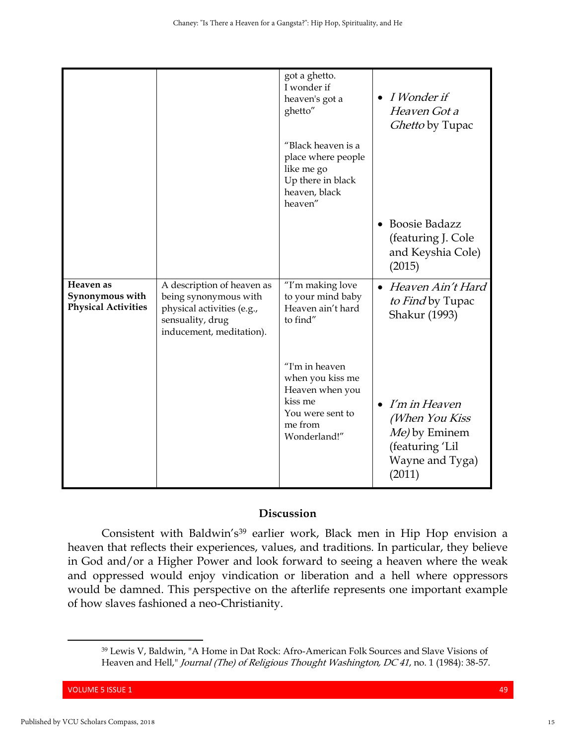|                                                            |                                                                                                                                   | got a ghetto.<br>I wonder if<br>heaven's got a<br>ghetto"<br>"Black heaven is a<br>place where people<br>like me go<br>Up there in black<br>heaven, black<br>heaven" | I Wonder if<br>$\bullet$<br>Heaven Got a<br>Ghetto by Tupac                                                   |
|------------------------------------------------------------|-----------------------------------------------------------------------------------------------------------------------------------|----------------------------------------------------------------------------------------------------------------------------------------------------------------------|---------------------------------------------------------------------------------------------------------------|
|                                                            |                                                                                                                                   |                                                                                                                                                                      | <b>Boosie Badazz</b><br>(featuring J. Cole<br>and Keyshia Cole)<br>(2015)                                     |
| Heaven as<br>Synonymous with<br><b>Physical Activities</b> | A description of heaven as<br>being synonymous with<br>physical activities (e.g.,<br>sensuality, drug<br>inducement, meditation). | "I'm making love<br>to your mind baby<br>Heaven ain't hard<br>to find"                                                                                               | Heaven Ain't Hard<br>to Find by Tupac<br>Shakur (1993)                                                        |
|                                                            |                                                                                                                                   | "I'm in heaven<br>when you kiss me<br>Heaven when you<br>kiss me<br>You were sent to<br>me from<br>Wonderland!"                                                      | I'm in Heaven<br>$\bullet$<br>(When You Kiss<br>Me) by Eminem<br>(featuring 'Lil<br>Wayne and Tyga)<br>(2011) |

# **Discussion**

Consistent with Baldwin's<sup>39</sup> earlier work, Black men in Hip Hop envision a heaven that reflects their experiences, values, and traditions. In particular, they believe in God and/or a Higher Power and look forward to seeing a heaven where the weak and oppressed would enjoy vindication or liberation and a hell where oppressors would be damned. This perspective on the afterlife represents one important example of how slaves fashioned a neo-Christianity.

l

<sup>39</sup> Lewis V, Baldwin, "A Home in Dat Rock: Afro-American Folk Sources and Slave Visions of Heaven and Hell," Journal (The) of Religious Thought Washington, DC 41, no. 1 (1984): 38-57.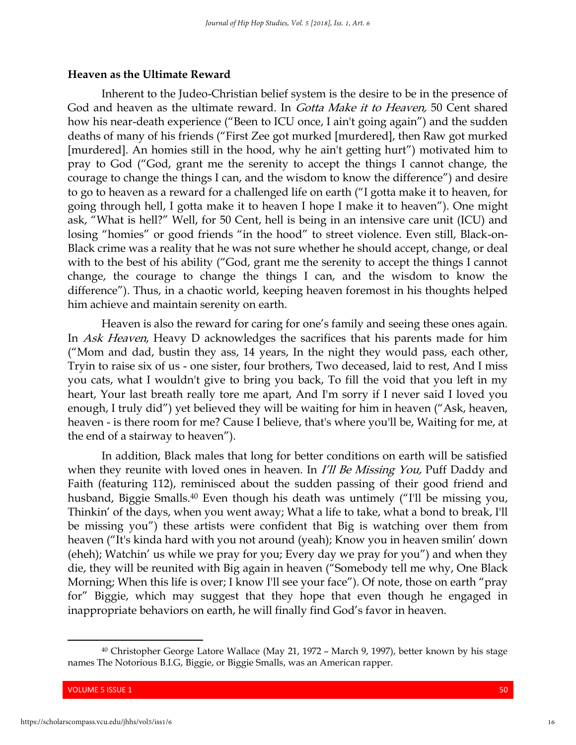#### **Heaven as the Ultimate Reward**

Inherent to the Judeo-Christian belief system is the desire to be in the presence of God and heaven as the ultimate reward. In Gotta Make it to Heaven, 50 Cent shared how his near-death experience ("Been to ICU once, I ain't going again") and the sudden deaths of many of his friends ("First Zee got murked [murdered], then Raw got murked [murdered]. An homies still in the hood, why he ain't getting hurt") motivated him to pray to God ("God, grant me the serenity to accept the things I cannot change, the courage to change the things I can, and the wisdom to know the difference") and desire to go to heaven as a reward for a challenged life on earth ("I gotta make it to heaven, for going through hell, I gotta make it to heaven I hope I make it to heaven"). One might ask, "What is hell?" Well, for 50 Cent, hell is being in an intensive care unit (ICU) and losing "homies" or good friends "in the hood" to street violence. Even still, Black-on-Black crime was a reality that he was not sure whether he should accept, change, or deal with to the best of his ability ("God, grant me the serenity to accept the things I cannot change, the courage to change the things I can, and the wisdom to know the difference"). Thus, in a chaotic world, keeping heaven foremost in his thoughts helped him achieve and maintain serenity on earth.

Heaven is also the reward for caring for one's family and seeing these ones again. In Ask Heaven, Heavy D acknowledges the sacrifices that his parents made for him ("Mom and dad, bustin they ass, 14 years, In the night they would pass, each other, Tryin to raise six of us - one sister, four brothers, Two deceased, laid to rest, And I miss you cats, what I wouldn't give to bring you back, To fill the void that you left in my heart, Your last breath really tore me apart, And I'm sorry if I never said I loved you enough, I truly did") yet believed they will be waiting for him in heaven ("Ask, heaven, heaven - is there room for me? Cause I believe, that's where you'll be, Waiting for me, at the end of a stairway to heaven").

In addition, Black males that long for better conditions on earth will be satisfied when they reunite with loved ones in heaven. In *I'll Be Missing You*, Puff Daddy and Faith (featuring 112), reminisced about the sudden passing of their good friend and husband, Biggie Smalls.<sup>40</sup> Even though his death was untimely ("I'll be missing you, Thinkin' of the days, when you went away; What a life to take, what a bond to break, I'll be missing you") these artists were confident that Big is watching over them from heaven ("It's kinda hard with you not around (yeah); Know you in heaven smilin' down (eheh); Watchin' us while we pray for you; Every day we pray for you") and when they die, they will be reunited with Big again in heaven ("Somebody tell me why, One Black Morning; When this life is over; I know I'll see your face"). Of note, those on earth "pray for" Biggie, which may suggest that they hope that even though he engaged in inappropriate behaviors on earth, he will finally find God's favor in heaven.

l

<sup>40</sup> Christopher George Latore Wallace (May 21, 1972 – March 9, 1997), better known by his stage names The Notorious B.I.G, Biggie, or Biggie Smalls, was an American rapper.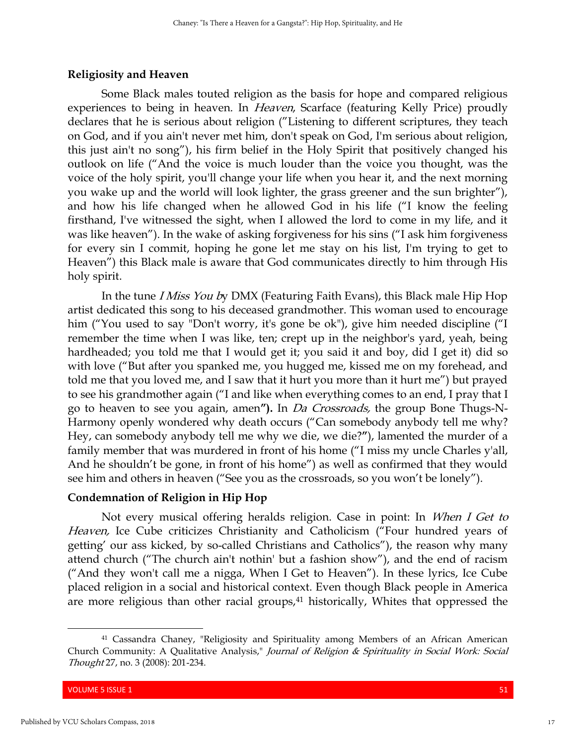#### **Religiosity and Heaven**

Some Black males touted religion as the basis for hope and compared religious experiences to being in heaven. In *Heaven*, Scarface (featuring Kelly Price) proudly declares that he is serious about religion ("Listening to different scriptures, they teach on God, and if you ain't never met him, don't speak on God, I'm serious about religion, this just ain't no song"), his firm belief in the Holy Spirit that positively changed his outlook on life ("And the voice is much louder than the voice you thought, was the voice of the holy spirit, you'll change your life when you hear it, and the next morning you wake up and the world will look lighter, the grass greener and the sun brighter"), and how his life changed when he allowed God in his life ("I know the feeling firsthand, I've witnessed the sight, when I allowed the lord to come in my life, and it was like heaven"). In the wake of asking forgiveness for his sins ("I ask him forgiveness for every sin I commit, hoping he gone let me stay on his list, I'm trying to get to Heaven") this Black male is aware that God communicates directly to him through His holy spirit.

In the tune *I Miss You by DMX* (Featuring Faith Evans), this Black male Hip Hop artist dedicated this song to his deceased grandmother. This woman used to encourage him ("You used to say "Don't worry, it's gone be ok"), give him needed discipline ("I remember the time when I was like, ten; crept up in the neighbor's yard, yeah, being hardheaded; you told me that I would get it; you said it and boy, did I get it) did so with love ("But after you spanked me, you hugged me, kissed me on my forehead, and told me that you loved me, and I saw that it hurt you more than it hurt me") but prayed to see his grandmother again ("I and like when everything comes to an end, I pray that I go to heaven to see you again, amen**").** In Da Crossroads, the group Bone Thugs-N-Harmony openly wondered why death occurs ("Can somebody anybody tell me why? Hey, can somebody anybody tell me why we die, we die?**"**), lamented the murder of a family member that was murdered in front of his home ("I miss my uncle Charles y'all, And he shouldn't be gone, in front of his home") as well as confirmed that they would see him and others in heaven ("See you as the crossroads, so you won't be lonely").

## **Condemnation of Religion in Hip Hop**

Not every musical offering heralds religion. Case in point: In When I Get to Heaven, Ice Cube criticizes Christianity and Catholicism ("Four hundred years of getting' our ass kicked, by so-called Christians and Catholics"), the reason why many attend church ("The church ain't nothin' but a fashion show"), and the end of racism ("And they won't call me a nigga, When I Get to Heaven"). In these lyrics, Ice Cube placed religion in a social and historical context. Even though Black people in America are more religious than other racial groups,<sup>41</sup> historically, Whites that oppressed the

<sup>41</sup> Cassandra Chaney, "Religiosity and Spirituality among Members of an African American Church Community: A Qualitative Analysis," Journal of Religion & Spirituality in Social Work: Social Thought 27, no. 3 (2008): 201-234.

VOLUME 5 ISSUE 1 51 SEPTEMBER 1988 STATE 1989 STATE 1998 STATE 1999 STATE 1999 STATE 1999 STATE 1999 STATE 199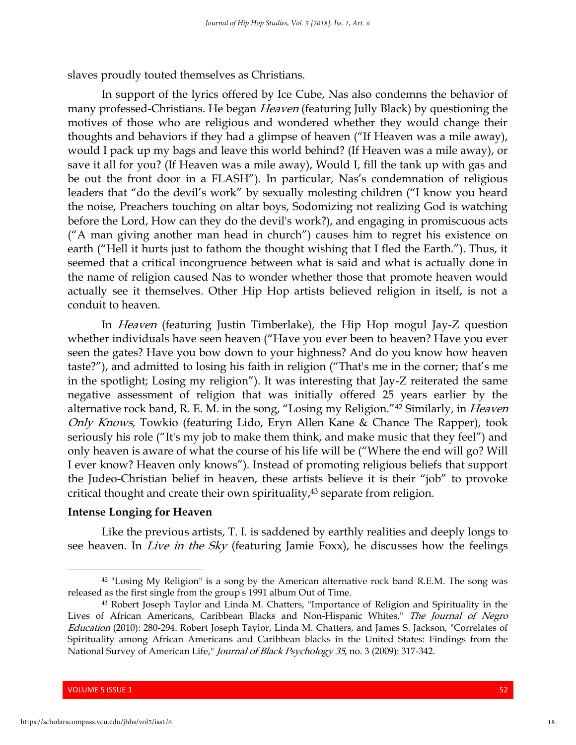slaves proudly touted themselves as Christians.

In support of the lyrics offered by Ice Cube, Nas also condemns the behavior of many professed-Christians. He began Heaven (featuring Jully Black) by questioning the motives of those who are religious and wondered whether they would change their thoughts and behaviors if they had a glimpse of heaven ("If Heaven was a mile away), would I pack up my bags and leave this world behind? (If Heaven was a mile away), or save it all for you? (If Heaven was a mile away), Would I, fill the tank up with gas and be out the front door in a FLASH"). In particular, Nas's condemnation of religious leaders that "do the devil's work" by sexually molesting children ("I know you heard the noise, Preachers touching on altar boys, Sodomizing not realizing God is watching before the Lord, How can they do the devil's work?), and engaging in promiscuous acts ("A man giving another man head in church") causes him to regret his existence on earth ("Hell it hurts just to fathom the thought wishing that I fled the Earth."). Thus, it seemed that a critical incongruence between what is said and what is actually done in the name of religion caused Nas to wonder whether those that promote heaven would actually see it themselves. Other Hip Hop artists believed religion in itself, is not a conduit to heaven.

In Heaven (featuring Justin Timberlake), the Hip Hop mogul Jay-Z question whether individuals have seen heaven ("Have you ever been to heaven? Have you ever seen the gates? Have you bow down to your highness? And do you know how heaven taste?"), and admitted to losing his faith in religion ("That's me in the corner; that's me in the spotlight; Losing my religion"). It was interesting that Jay-Z reiterated the same negative assessment of religion that was initially offered 25 years earlier by the alternative rock band, R. E. M. in the song, "Losing my Religion."<sup>42</sup> Similarly, in *Heaven* Only Knows, Towkio (featuring Lido, Eryn Allen Kane & Chance The Rapper), took seriously his role ("It's my job to make them think, and make music that they feel") and only heaven is aware of what the course of his life will be ("Where the end will go? Will I ever know? Heaven only knows"). Instead of promoting religious beliefs that support the Judeo-Christian belief in heaven, these artists believe it is their "job" to provoke critical thought and create their own spirituality,<sup>43</sup> separate from religion.

## **Intense Longing for Heaven**

Like the previous artists, T. I. is saddened by earthly realities and deeply longs to see heaven. In *Live in the Sky* (featuring Jamie Foxx), he discusses how the feelings

 $42$  "Losing My Religion" is a song by the American [alternative rock](https://en.wikipedia.org/wiki/Alternative_rock) band [R.E.M.](https://en.wikipedia.org/wiki/R.E.M.) The song was released as the first single from the group's 1991 album [Out of Time.](https://en.wikipedia.org/wiki/Out_of_Time_(album))

<sup>43</sup> Robert Joseph Taylor and Linda M. Chatters, "Importance of Religion and Spirituality in the Lives of African Americans, Caribbean Blacks and Non-Hispanic Whites," The Journal of Negro Education (2010): 280-294. Robert Joseph Taylor, Linda M. Chatters, and James S. Jackson, "Correlates of Spirituality among African Americans and Caribbean blacks in the United States: Findings from the National Survey of American Life," Journal of Black Psychology 35, no. 3 (2009): 317-342.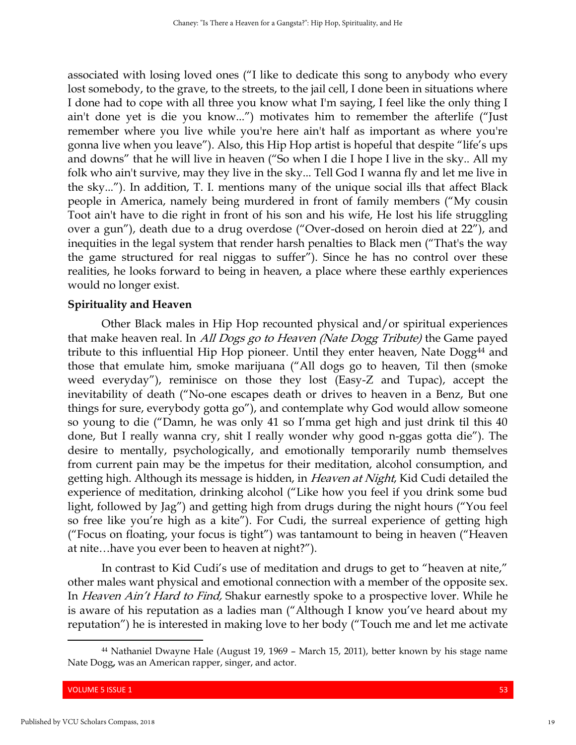associated with losing loved ones ("I like to dedicate this song to anybody who every lost somebody, to the grave, to the streets, to the jail cell, I done been in situations where I done had to cope with all three you know what I'm saying, I feel like the only thing I ain't done yet is die you know...") motivates him to remember the afterlife ("Just remember where you live while you're here ain't half as important as where you're gonna live when you leave"). Also, this Hip Hop artist is hopeful that despite "life's ups and downs" that he will live in heaven ("So when I die I hope I live in the sky.. All my folk who ain't survive, may they live in the sky... Tell God I wanna fly and let me live in the sky..."). In addition, T. I. mentions many of the unique social ills that affect Black people in America, namely being murdered in front of family members ("My cousin Toot ain't have to die right in front of his son and his wife, He lost his life struggling over a gun"), death due to a drug overdose ("Over-dosed on heroin died at 22"), and inequities in the legal system that render harsh penalties to Black men ("That's the way the game structured for real niggas to suffer"). Since he has no control over these realities, he looks forward to being in heaven, a place where these earthly experiences would no longer exist.

## **Spirituality and Heaven**

Other Black males in Hip Hop recounted physical and/or spiritual experiences that make heaven real. In *All Dogs go to Heaven (Nate Dogg Tribute)* the Game payed tribute to this influential Hip Hop pioneer. Until they enter heaven, Nate Dogg<sup>44</sup> and those that emulate him, smoke marijuana ("All dogs go to heaven, Til then (smoke weed everyday"), reminisce on those they lost (Easy-Z and Tupac), accept the inevitability of death ("No-one escapes death or drives to heaven in a Benz, But one things for sure, everybody gotta go"), and contemplate why God would allow someone so young to die ("Damn, he was only 41 so I'mma get high and just drink til this 40 done, But I really wanna cry, shit I really wonder why good n-ggas gotta die"). The desire to mentally, psychologically, and emotionally temporarily numb themselves from current pain may be the impetus for their meditation, alcohol consumption, and getting high. Although its message is hidden, in Heaven at Night, Kid Cudi detailed the experience of meditation, drinking alcohol ("Like how you feel if you drink some bud light, followed by Jag") and getting high from drugs during the night hours ("You feel so free like you're high as a kite"). For Cudi, the surreal experience of getting high ("Focus on floating, your focus is tight") was tantamount to being in heaven ("Heaven at nite…have you ever been to heaven at night?").

In contrast to Kid Cudi's use of meditation and drugs to get to "heaven at nite," other males want physical and emotional connection with a member of the opposite sex. In Heaven Ain't Hard to Find, Shakur earnestly spoke to a prospective lover. While he is aware of his reputation as a ladies man ("Although I know you've heard about my reputation") he is interested in making love to her body ("Touch me and let me activate

VOLUME 5 ISSUE 1 533 SAN FRANCISCO IN 1999 STATES AND THE RELEASED OF THE RELEASED OF THE RELEASED OF THE RELEASED OF THE RELEASED OF THE RELEASED OF THE RELEASED OF THE RELEASED OF THE RELEASED OF THE RELEASED OF THE RELE

l

<sup>44</sup> Nathaniel Dwayne Hale (August 19, 1969 – March 15, 2011), better known by his stage name Nate Dogg**,** was an American rapper, singer, and actor.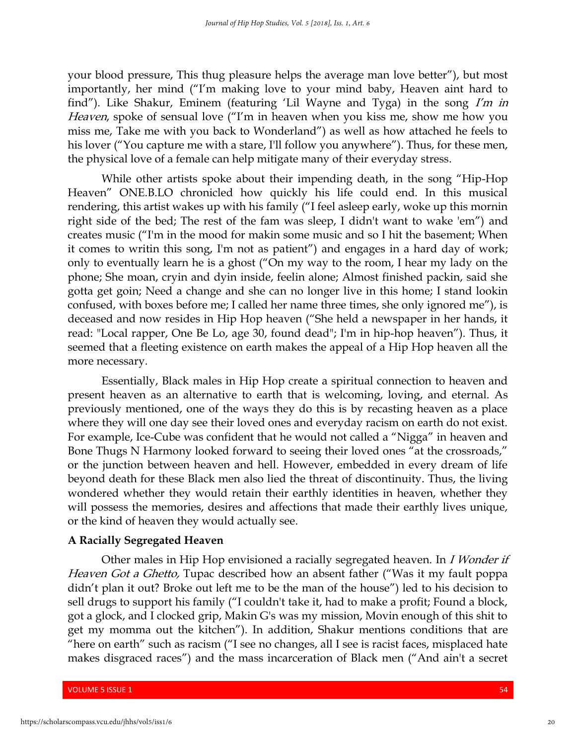your blood pressure, This thug pleasure helps the average man love better"), but most importantly, her mind ("I'm making love to your mind baby, Heaven aint hard to find"). Like Shakur, Eminem (featuring 'Lil Wayne and Tyga) in the song  $I'm$  in Heaven, spoke of sensual love ("I'm in heaven when you kiss me, show me how you miss me, Take me with you back to Wonderland") as well as how attached he feels to his lover ("You capture me with a stare, I'll follow you anywhere"). Thus, for these men, the physical love of a female can help mitigate many of their everyday stress.

While other artists spoke about their impending death, in the song "Hip-Hop Heaven" ONE.B.LO chronicled how quickly his life could end. In this musical rendering, this artist wakes up with his family ("I feel asleep early, woke up this mornin right side of the bed; The rest of the fam was sleep, I didn't want to wake 'em") and creates music ("I'm in the mood for makin some music and so I hit the basement; When it comes to writin this song, I'm not as patient") and engages in a hard day of work; only to eventually learn he is a ghost ("On my way to the room, I hear my lady on the phone; She moan, cryin and dyin inside, feelin alone; Almost finished packin, said she gotta get goin; Need a change and she can no longer live in this home; I stand lookin confused, with boxes before me; I called her name three times, she only ignored me"), is deceased and now resides in Hip Hop heaven ("She held a newspaper in her hands, it read: "Local rapper, One Be Lo, age 30, found dead"; I'm in hip-hop heaven"). Thus, it seemed that a fleeting existence on earth makes the appeal of a Hip Hop heaven all the more necessary.

Essentially, Black males in Hip Hop create a spiritual connection to heaven and present heaven as an alternative to earth that is welcoming, loving, and eternal. As previously mentioned, one of the ways they do this is by recasting heaven as a place where they will one day see their loved ones and everyday racism on earth do not exist. For example, Ice-Cube was confident that he would not called a "Nigga" in heaven and Bone Thugs N Harmony looked forward to seeing their loved ones "at the crossroads," or the junction between heaven and hell. However, embedded in every dream of life beyond death for these Black men also lied the threat of discontinuity. Thus, the living wondered whether they would retain their earthly identities in heaven, whether they will possess the memories, desires and affections that made their earthly lives unique, or the kind of heaven they would actually see.

## **A Racially Segregated Heaven**

Other males in Hip Hop envisioned a racially segregated heaven. In I Wonder if Heaven Got a Ghetto, Tupac described how an absent father ("Was it my fault poppa didn't plan it out? Broke out left me to be the man of the house") led to his decision to sell drugs to support his family ("I couldn't take it, had to make a profit; Found a block, got a glock, and I clocked grip, Makin G's was my mission, Movin enough of this shit to get my momma out the kitchen"). In addition, Shakur mentions conditions that are "here on earth" such as racism ("I see no changes, all I see is racist faces, misplaced hate makes disgraced races") and the mass incarceration of Black men ("And ain't a secret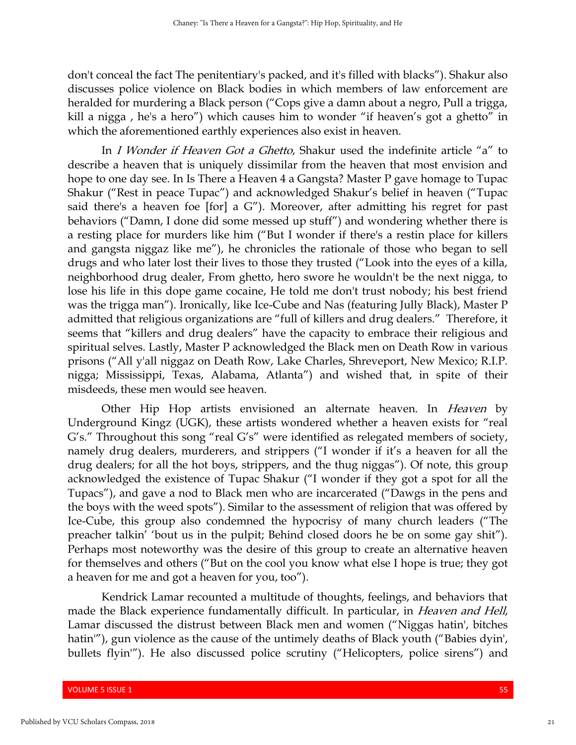don't conceal the fact The penitentiary's packed, and it's filled with blacks"). Shakur also discusses police violence on Black bodies in which members of law enforcement are heralded for murdering a Black person ("Cops give a damn about a negro, Pull a trigga, kill a nigga , he's a hero") which causes him to wonder "if heaven's got a ghetto" in which the aforementioned earthly experiences also exist in heaven.

In I Wonder if Heaven Got a Ghetto, Shakur used the indefinite article "a" to describe a heaven that is uniquely dissimilar from the heaven that most envision and hope to one day see. In Is There a Heaven 4 a Gangsta? Master P gave homage to Tupac Shakur ("Rest in peace Tupac") and acknowledged Shakur's belief in heaven ("Tupac said there's a heaven foe [for] a G"). Moreover, after admitting his regret for past behaviors ("Damn, I done did some messed up stuff") and wondering whether there is a resting place for murders like him ("But I wonder if there's a restin place for killers and gangsta niggaz like me"), he chronicles the rationale of those who began to sell drugs and who later lost their lives to those they trusted ("Look into the eyes of a killa, neighborhood drug dealer, From ghetto, hero swore he wouldn't be the next nigga, to lose his life in this dope game cocaine, He told me don't trust nobody; his best friend was the trigga man"). Ironically, like Ice-Cube and Nas (featuring Jully Black), Master P admitted that religious organizations are "full of killers and drug dealers." Therefore, it seems that "killers and drug dealers" have the capacity to embrace their religious and spiritual selves. Lastly, Master P acknowledged the Black men on Death Row in various prisons ("All y'all niggaz on Death Row, Lake Charles, Shreveport, New Mexico; R.I.P. nigga; Mississippi, Texas, Alabama, Atlanta") and wished that, in spite of their misdeeds, these men would see heaven.

Other Hip Hop artists envisioned an alternate heaven. In *Heaven* by Underground Kingz (UGK), these artists wondered whether a heaven exists for "real G's." Throughout this song "real G's" were identified as relegated members of society, namely drug dealers, murderers, and strippers ("I wonder if it's a heaven for all the drug dealers; for all the hot boys, strippers, and the thug niggas"). Of note, this group acknowledged the existence of Tupac Shakur ("I wonder if they got a spot for all the Tupacs"), and gave a nod to Black men who are incarcerated ("Dawgs in the pens and the boys with the weed spots"). Similar to the assessment of religion that was offered by Ice-Cube, this group also condemned the hypocrisy of many church leaders ("The preacher talkin' 'bout us in the pulpit; Behind closed doors he be on some gay shit"). Perhaps most noteworthy was the desire of this group to create an alternative heaven for themselves and others ("But on the cool you know what else I hope is true; they got a heaven for me and got a heaven for you, too").

Kendrick Lamar recounted a multitude of thoughts, feelings, and behaviors that made the Black experience fundamentally difficult. In particular, in *Heaven and Hell*, Lamar discussed the distrust between Black men and women ("[Niggas hatin', bitches](http://rapgenius.com/444341/Kendrick-lamar-heaven-and-hell/Niggas-hatin-bitches-hatin)  [hatin'](http://rapgenius.com/444341/Kendrick-lamar-heaven-and-hell/Niggas-hatin-bitches-hatin)"), gun violence as the cause of the untimely deaths of Black youth ("Babies dyin', [bullets flyin'](http://rapgenius.com/966255/Kendrick-lamar-heaven-and-hell/Babies-dyin-bullets-flyin)"). He also discussed police scrutiny ("[Helicopters, police sirens](http://rapgenius.com/898098/Kendrick-lamar-heaven-and-hell/Helicopters-police-sirens)") and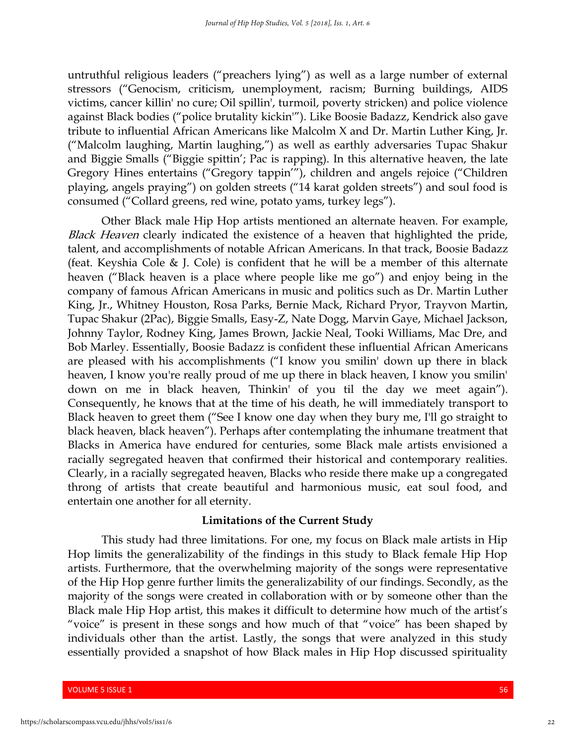untruthful religious leaders ("[preachers lying](http://rapgenius.com/803322/Kendrick-lamar-heaven-and-hell/Preachers-lying)") as well as a large number of external stressors ("[Genocism, criticism, unemployment, racism; Burning buildings, AIDS](http://rapgenius.com/803149/Kendrick-lamar-heaven-and-hell/Genocism-criticism-unemployment-racism-burning-buildings-aids-victims-cancer-killin-no-cure-oil-spillin-turmoil-poverty-stricken)  [victims, cancer killin' no cure; Oil spillin', turmoil, poverty stricken\)](http://rapgenius.com/803149/Kendrick-lamar-heaven-and-hell/Genocism-criticism-unemployment-racism-burning-buildings-aids-victims-cancer-killin-no-cure-oil-spillin-turmoil-poverty-stricken) and police violence against Black bodies ("[police brutality kickin'](http://rapgenius.com/803114/Kendrick-lamar-heaven-and-hell/Police-brutality-kickin)"). Like Boosie Badazz, Kendrick also gave tribute to influential African Americans like Malcolm X and Dr. Martin Luther King, Jr. ("Malcolm laughing, Martin laughing,") as well as earthly adversaries Tupac Shakur and Biggie Smalls ("Biggie spittin'; Pac is rapping). In this alternative heaven, the late Gregory Hines entertains ("Gregory tappin'"), children and angels rejoice ("Children playing, angels praying") on golden streets ("14 karat golden streets") and soul food is consumed ("Collard greens, red wine, potato yams, turkey legs").

Other Black male Hip Hop artists mentioned an alternate heaven. For example, Black Heaven clearly indicated the existence of a heaven that highlighted the pride, talent, and accomplishments of notable African Americans. In that track, Boosie Badazz (feat. Keyshia Cole  $\&$  J. Cole) is confident that he will be a member of this alternate heaven ("Black heaven is a place where people like me go") and enjoy being in the company of famous African Americans in music and politics such as Dr. Martin Luther King, Jr., Whitney Houston, Rosa Parks, Bernie Mack, Richard Pryor, Trayvon Martin, Tupac Shakur (2Pac), Biggie Smalls, Easy-Z, Nate Dogg, Marvin Gaye, Michael Jackson, Johnny Taylor, Rodney King, James Brown, Jackie Neal, Tooki Williams, Mac Dre, and Bob Marley. Essentially, Boosie Badazz is confident these influential African Americans are pleased with his accomplishments ("I know you smilin' down up there in black heaven, I know you're really proud of me up there in black heaven, I know you smilin' down on me in black heaven, Thinkin' of you til the day we meet again"). Consequently, he knows that at the time of his death, he will immediately transport to Black heaven to greet them ("See I know one day when they bury me, I'll go straight to black heaven, black heaven"). Perhaps after contemplating the inhumane treatment that Blacks in America have endured for centuries, some Black male artists envisioned a racially segregated heaven that confirmed their historical and contemporary realities. Clearly, in a racially segregated heaven, Blacks who reside there make up a congregated throng of artists that create beautiful and harmonious music, eat soul food, and entertain one another for all eternity.

## **Limitations of the Current Study**

This study had three limitations. For one, my focus on Black male artists in Hip Hop limits the generalizability of the findings in this study to Black female Hip Hop artists. Furthermore, that the overwhelming majority of the songs were representative of the Hip Hop genre further limits the generalizability of our findings. Secondly, as the majority of the songs were created in collaboration with or by someone other than the Black male Hip Hop artist, this makes it difficult to determine how much of the artist's "voice" is present in these songs and how much of that "voice" has been shaped by individuals other than the artist. Lastly, the songs that were analyzed in this study essentially provided a snapshot of how Black males in Hip Hop discussed spirituality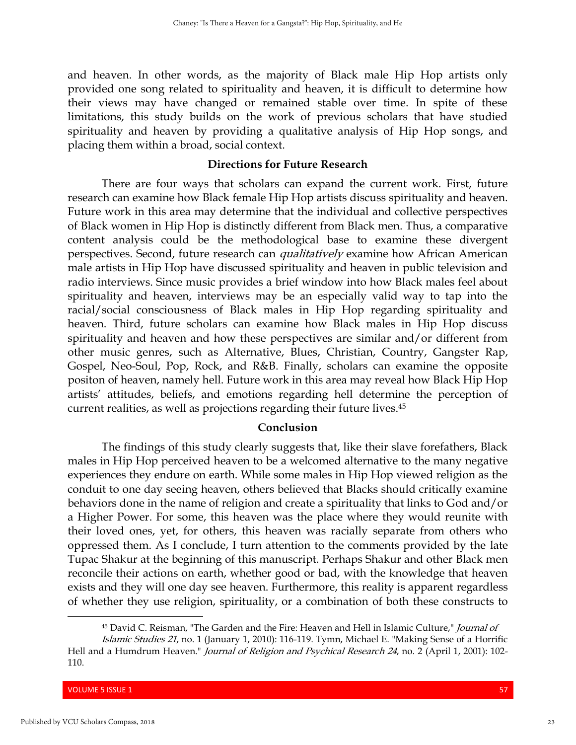and heaven. In other words, as the majority of Black male Hip Hop artists only provided one song related to spirituality and heaven, it is difficult to determine how their views may have changed or remained stable over time. In spite of these limitations, this study builds on the work of previous scholars that have studied spirituality and heaven by providing a qualitative analysis of Hip Hop songs, and placing them within a broad, social context.

#### **Directions for Future Research**

There are four ways that scholars can expand the current work. First, future research can examine how Black female Hip Hop artists discuss spirituality and heaven. Future work in this area may determine that the individual and collective perspectives of Black women in Hip Hop is distinctly different from Black men. Thus, a comparative content analysis could be the methodological base to examine these divergent perspectives. Second, future research can *qualitatively* examine how African American male artists in Hip Hop have discussed spirituality and heaven in public television and radio interviews. Since music provides a brief window into how Black males feel about spirituality and heaven, interviews may be an especially valid way to tap into the racial/social consciousness of Black males in Hip Hop regarding spirituality and heaven. Third, future scholars can examine how Black males in Hip Hop discuss spirituality and heaven and how these perspectives are similar and/or different from other music genres, such as Alternative, Blues, Christian, Country, Gangster Rap, Gospel, Neo-Soul, Pop, Rock, and R&B. Finally, scholars can examine the opposite positon of heaven, namely hell. Future work in this area may reveal how Black Hip Hop artists' attitudes, beliefs, and emotions regarding hell determine the perception of current realities, as well as projections regarding their future lives.<sup>45</sup>

## **Conclusion**

The findings of this study clearly suggests that, like their slave forefathers, Black males in Hip Hop perceived heaven to be a welcomed alternative to the many negative experiences they endure on earth. While some males in Hip Hop viewed religion as the conduit to one day seeing heaven, others believed that Blacks should critically examine behaviors done in the name of religion and create a spirituality that links to God and/or a Higher Power. For some, this heaven was the place where they would reunite with their loved ones, yet, for others, this heaven was racially separate from others who oppressed them. As I conclude, I turn attention to the comments provided by the late Tupac Shakur at the beginning of this manuscript. Perhaps Shakur and other Black men reconcile their actions on earth, whether good or bad, with the knowledge that heaven exists and they will one day see heaven. Furthermore, this reality is apparent regardless of whether they use religion, spirituality, or a combination of both these constructs to

 $\overline{a}$ 

<sup>&</sup>lt;sup>45</sup> David C. Reisman, "The Garden and the Fire: Heaven and Hell in Islamic Culture," *Journal of* 

Islamic Studies 21, no. 1 (January 1, 2010): 116-119. Tymn, Michael E. "Making Sense of a Horrific Hell and a Humdrum Heaven." Journal of Religion and Psychical Research 24, no. 2 (April 1, 2001): 102-110.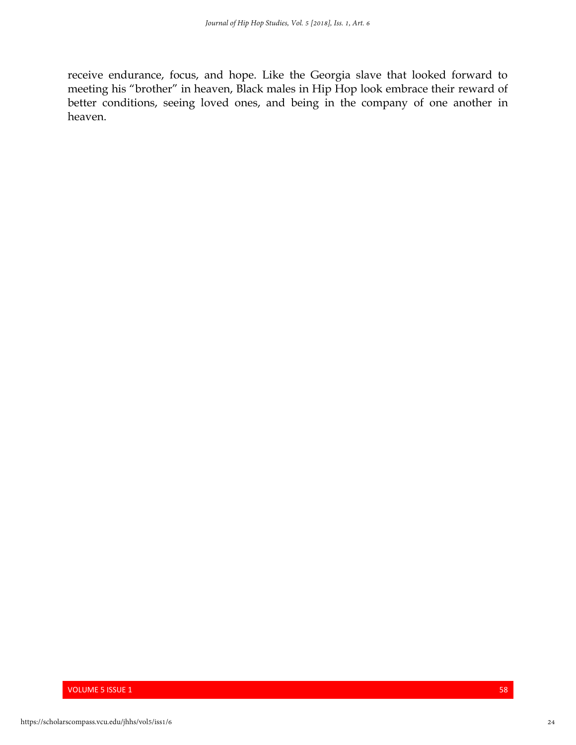receive endurance, focus, and hope. Like the Georgia slave that looked forward to meeting his "brother" in heaven, Black males in Hip Hop look embrace their reward of better conditions, seeing loved ones, and being in the company of one another in heaven.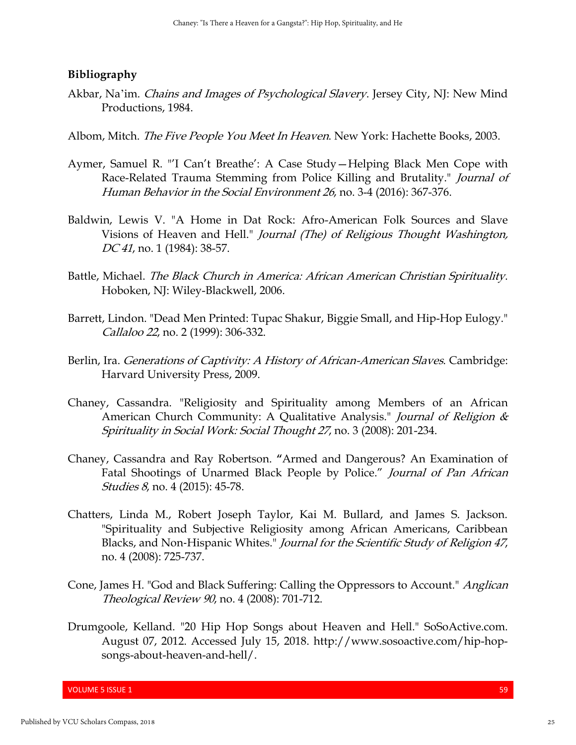#### **Bibliography**

Akbar, Na'im. Chains and Images of Psychological Slavery. Jersey City, NJ: New Mind Productions, 1984.

Albom, Mitch. The Five People You Meet In Heaven. New York: Hachette Books, 2003.

- Aymer, Samuel R. "'I Can't Breathe': A Case Study—Helping Black Men Cope with Race-Related Trauma Stemming from Police Killing and Brutality." Journal of Human Behavior in the Social Environment 26, no. 3-4 (2016): 367-376.
- Baldwin, Lewis V. "A Home in Dat Rock: Afro-American Folk Sources and Slave Visions of Heaven and Hell." Journal (The) of Religious Thought Washington, DC 41, no. 1 (1984): 38-57.
- Battle, Michael. The Black Church in America: African American Christian Spirituality. Hoboken, NJ: Wiley-Blackwell, 2006.
- Barrett, Lindon. "Dead Men Printed: Tupac Shakur, Biggie Small, and Hip-Hop Eulogy." Callaloo 22, no. 2 (1999): 306-332.
- Berlin, Ira. Generations of Captivity: A History of African-American Slaves. Cambridge: Harvard University Press, 2009.
- Chaney, Cassandra. "Religiosity and Spirituality among Members of an African American Church Community: A Qualitative Analysis." Journal of Religion & Spirituality in Social Work: Social Thought 27, no. 3 (2008): 201-234.
- Chaney, Cassandra and Ray Robertson. **"**Armed and Dangerous? An Examination of Fatal Shootings of Unarmed Black People by Police." Journal of Pan African *Studies 8*, no. 4 (2015): 45-78.
- Chatters, Linda M., Robert Joseph Taylor, Kai M. Bullard, and James S. Jackson. "Spirituality and Subjective Religiosity among African Americans, Caribbean Blacks, and Non-Hispanic Whites." Journal for the Scientific Study of Religion 47, no. 4 (2008): 725-737.
- Cone, James H. "God and Black Suffering: Calling the Oppressors to Account." Anglican Theological Review 90, no. 4 (2008): 701-712.
- Drumgoole, Kelland. "20 Hip Hop Songs about Heaven and Hell." SoSoActive.com. August 07, 2012. Accessed July 15, 2018. http://www.sosoactive.com/hip-hopsongs-about-heaven-and-hell/.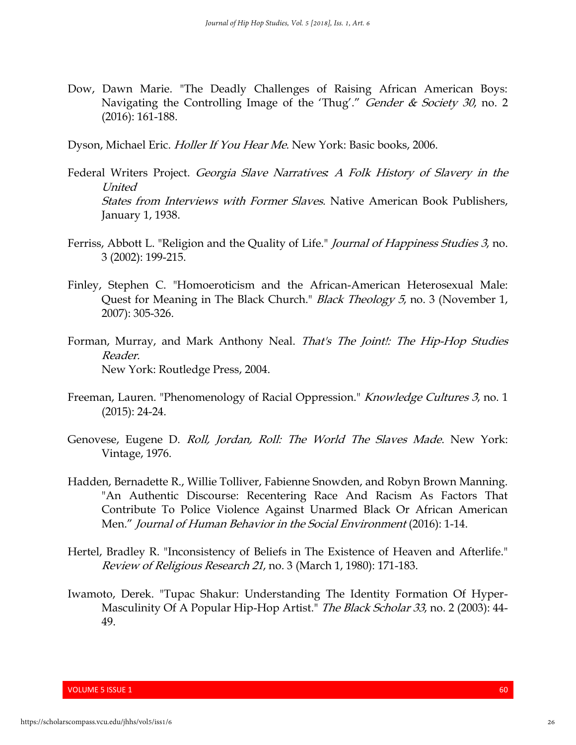Dow, Dawn Marie. "The Deadly Challenges of Raising African American Boys: Navigating the Controlling Image of the 'Thug'." Gender & Society 30, no. 2 (2016): 161-188.

Dyson, Michael Eric. Holler If You Hear Me. New York: Basic books, 2006.

- Federal Writers Project. Georgia Slave Narratives*:* A Folk History of Slavery in the United States from Interviews with Former Slaves. Native American Book Publishers, January 1, 1938.
- Ferriss, Abbott L. "Religion and the Quality of Life." *Journal of Happiness Studies 3*, no. 3 (2002): 199-215.
- Finley, Stephen C. "Homoeroticism and the African-American Heterosexual Male: Quest for Meaning in The Black Church." *Black Theology 5*, no. 3 (November 1, 2007): 305-326.
- Forman, Murray, and Mark Anthony Neal. That's The Joint!: The Hip-Hop Studies Reader. New York: Routledge Press, 2004.
- Freeman, Lauren. "Phenomenology of Racial Oppression." Knowledge Cultures 3, no. 1 (2015): 24-24.
- Genovese, Eugene D. Roll, Jordan, Roll: The World The Slaves Made. New York: Vintage, 1976.
- Hadden, Bernadette R., Willie Tolliver, Fabienne Snowden, and Robyn Brown Manning. "An Authentic Discourse: Recentering Race And Racism As Factors That Contribute To Police Violence Against Unarmed Black Or African American Men." Journal of Human Behavior in the Social Environment (2016): 1-14.
- Hertel, Bradley R. "Inconsistency of Beliefs in The Existence of Heaven and Afterlife." Review of Religious Research 21, no. 3 (March 1, 1980): 171-183.
- Iwamoto, Derek. "Tupac Shakur: Understanding The Identity Formation Of Hyper-Masculinity Of A Popular Hip-Hop Artist." The Black Scholar 33, no. 2 (2003): 44-49.

#### VOLUME 5 ISSUE 1 600 MHz = 000 MHz = 000 MHz = 000 MHz = 000 MHz = 000 MHz = 000 MHz = 000 MHz = 000 MHz = 000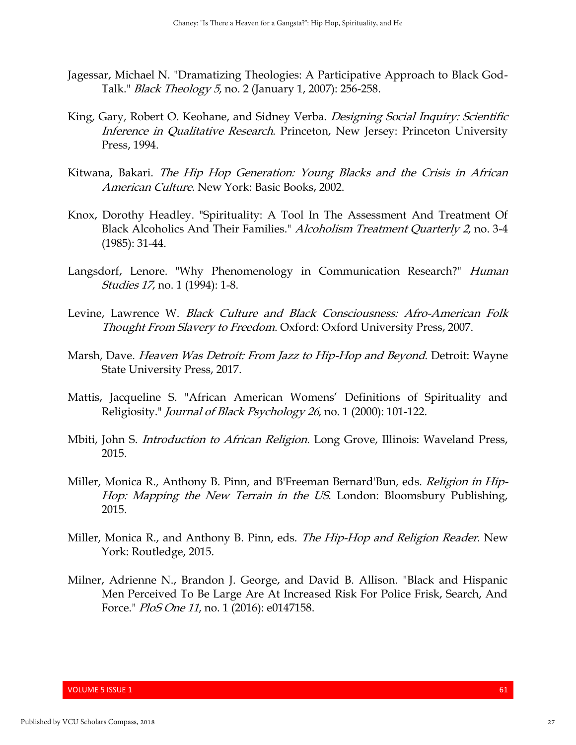- Jagessar, Michael N. "Dramatizing Theologies: A Participative Approach to Black God-Talk." Black Theology 5, no. 2 (January 1, 2007): 256-258.
- King, Gary, Robert O. Keohane, and Sidney Verba. Designing Social Inquiry: Scientific Inference in Qualitative Research. Princeton, New Jersey: Princeton University Press, 1994.
- Kitwana, Bakari. The Hip Hop Generation: Young Blacks and the Crisis in African American Culture. New York: Basic Books, 2002.
- Knox, Dorothy Headley. "Spirituality: A Tool In The Assessment And Treatment Of Black Alcoholics And Their Families." Alcoholism Treatment Quarterly 2, no. 3-4 (1985): 31-44.
- Langsdorf, Lenore. "Why Phenomenology in Communication Research?" Human Studies 17, no. 1 (1994): 1-8.
- Levine, Lawrence W. Black Culture and Black Consciousness: Afro-American Folk Thought From Slavery to Freedom. Oxford: Oxford University Press, 2007.
- Marsh, Dave. Heaven Was Detroit: From Jazz to Hip-Hop and Beyond. Detroit: Wayne State University Press, 2017.
- Mattis, Jacqueline S. "African American Womens' Definitions of Spirituality and Religiosity." *Journal of Black Psychology 26*, no. 1 (2000): 101-122.
- Mbiti, John S. Introduction to African Religion. Long Grove, Illinois: Waveland Press, 2015.
- Miller, Monica R., Anthony B. Pinn, and B'Freeman Bernard'Bun, eds. *Religion in Hip-*Hop: Mapping the New Terrain in the US. London: Bloomsbury Publishing, 2015.
- Miller, Monica R., and Anthony B. Pinn, eds. The Hip-Hop and Religion Reader. New York: Routledge, 2015.
- Milner, Adrienne N., Brandon J. George, and David B. Allison. "Black and Hispanic Men Perceived To Be Large Are At Increased Risk For Police Frisk, Search, And Force." *PloS One 11*, no. 1 (2016): e0147158.

#### VOLUME 5 ISSUE  $1$  61  $\pm$  61  $\pm$  61  $\pm$  61  $\pm$  61  $\pm$  61  $\pm$  61  $\pm$  61  $\pm$  61  $\pm$  61  $\pm$  61  $\pm$  61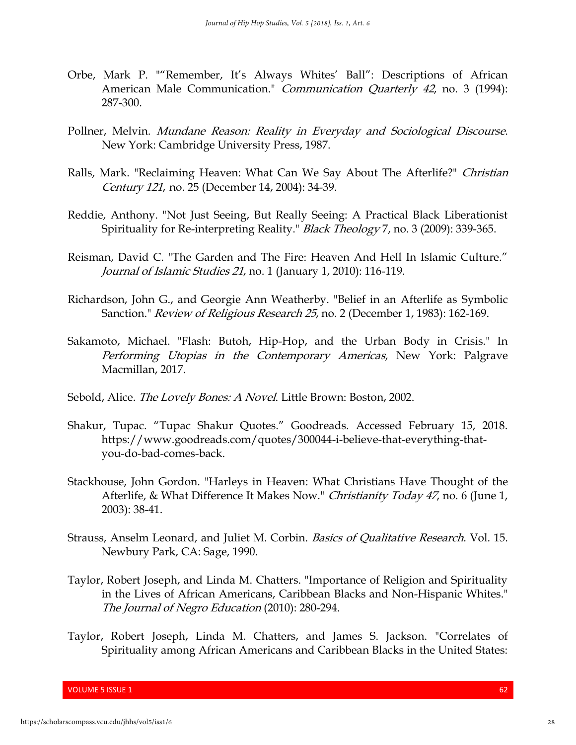- Orbe, Mark P. ""Remember, It's Always Whites' Ball": Descriptions of African American Male Communication." Communication Quarterly 42, no. 3 (1994): 287-300.
- Pollner, Melvin. Mundane Reason: Reality in Everyday and Sociological Discourse. New York: Cambridge University Press, 1987.
- Ralls, Mark. "Reclaiming Heaven: What Can We Say About The Afterlife?" Christian Century 121, no. 25 (December 14, 2004): 34-39.
- Reddie, Anthony. "Not Just Seeing, But Really Seeing: A Practical Black Liberationist Spirituality for Re-interpreting Reality." Black Theology 7, no. 3 (2009): 339-365.
- Reisman, David C. "The Garden and The Fire: Heaven And Hell In Islamic Culture." Journal of Islamic Studies 21, no. 1 (January 1, 2010): 116-119.
- Richardson, John G., and Georgie Ann Weatherby. "Belief in an Afterlife as Symbolic Sanction." Review of Religious Research 25, no. 2 (December 1, 1983): 162-169.
- Sakamoto, Michael. "Flash: Butoh, Hip-Hop, and the Urban Body in Crisis." In Performing Utopias in the Contemporary Americas, New York: Palgrave Macmillan, 2017.
- Sebold, Alice. The Lovely Bones: A Novel. Little Brown: Boston, 2002.
- Shakur, Tupac. "Tupac Shakur Quotes." Goodreads. Accessed February 15, 2018. [https://www.goodreads.com/quotes/300044-i-believe-that-everything-that](https://www.goodreads.com/quotes/300044-i-believe-that-everything-that-you-do-bad-comes-back)[you-do-bad-comes-back.](https://www.goodreads.com/quotes/300044-i-believe-that-everything-that-you-do-bad-comes-back)
- Stackhouse, John Gordon. "Harleys in Heaven: What Christians Have Thought of the Afterlife, & What Difference It Makes Now." Christianity Today 47, no. 6 (June 1, 2003): 38-41.
- Strauss, Anselm Leonard, and Juliet M. Corbin. *Basics of Qualitative Research*. Vol. 15. Newbury Park, CA: Sage, 1990.
- Taylor, Robert Joseph, and Linda M. Chatters. "Importance of Religion and Spirituality in the Lives of African Americans, Caribbean Blacks and Non-Hispanic Whites." The Journal of Negro Education (2010): 280-294.
- Taylor, Robert Joseph, Linda M. Chatters, and James S. Jackson. "Correlates of Spirituality among African Americans and Caribbean Blacks in the United States:

#### VOLUME 5 ISSUE 1 62 A 10 A 202 A 202 A 202 A 202 A 202 A 202 A 202 A 202 A 202 A 202 A 202 A 202 A 202 A 202 A